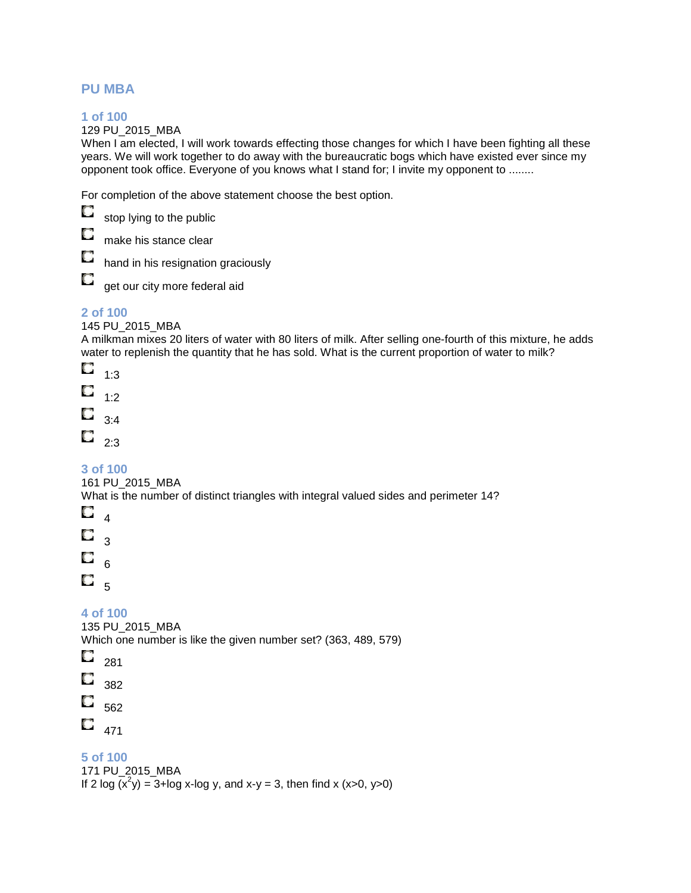### **PU MBA**

### **1 of 100**

129 PU\_2015\_MBA

When I am elected, I will work towards effecting those changes for which I have been fighting all these years. We will work together to do away with the bureaucratic bogs which have existed ever since my opponent took office. Everyone of you knows what I stand for; I invite my opponent to ........

For completion of the above statement choose the best option.

О

stop lying to the public

O make his stance clear

O hand in his resignation graciously

O get our city more federal aid

### **2 of 100**

145 PU\_2015\_MBA

A milkman mixes 20 liters of water with 80 liters of milk. After selling one-fourth of this mixture, he adds water to replenish the quantity that he has sold. What is the current proportion of water to milk?

O 1:3 О 1:2 O 3:4  $\Box$ <sub>2:3</sub>

**3 of 100** 

161 PU\_2015\_MBA

What is the number of distinct triangles with integral valued sides and perimeter 14?

O  $\overline{A}$ О 3 O 6 O 5

**4 of 100** 

135 PU\_2015\_MBA

Which one number is like the given number set? (363, 489, 579)

Q 281

O 382

O 562

Q 471

**5 of 100** 

171 PU\_2015\_MBA

If 2 log  $(x^2y) = 3 + \log x$ -log y, and x-y = 3, then find x (x>0, y>0)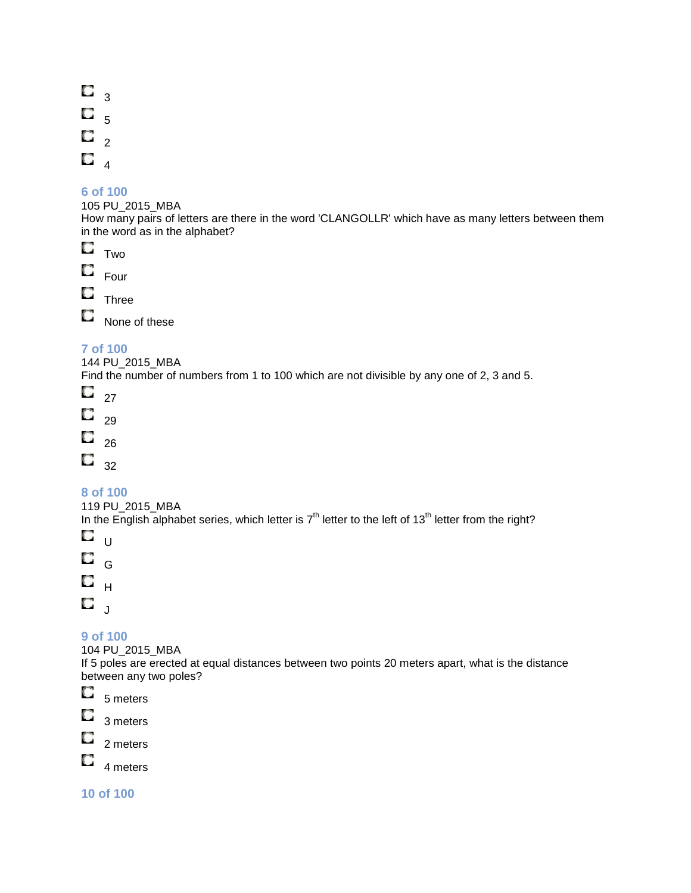$\Box$ <sub>3</sub> O 5  $\Box$ <sub>2</sub> 0  $\overline{4}$ 

#### **6 of 100**

105 PU\_2015\_MBA

How many pairs of letters are there in the word 'CLANGOLLR' which have as many letters between them in the word as in the alphabet?

 $\Box$ Two

O Four

 $\Box$  Three

O None of these

### **7 of 100**

144 PU\_2015\_MBA

Find the number of numbers from 1 to 100 which are not divisible by any one of 2, 3 and 5.

O 27

О 29

0 26

 $\overline{\mathbb{C}}$  32

### **8 of 100**

119 PU\_2015\_MBA

In the English alphabet series, which letter is  $7<sup>th</sup>$  letter to the left of 13<sup>th</sup> letter from the right?

O  $\overline{U}$ 

O G  $\mathbf{C}$   $_{\mathsf{H}}$ 

 $\mathbf{C}$ 

### **9 of 100**

104 PU\_2015\_MBA

If 5 poles are erected at equal distances between two points 20 meters apart, what is the distance between any two poles?



О 2 meters

О 4 meters

**10 of 100**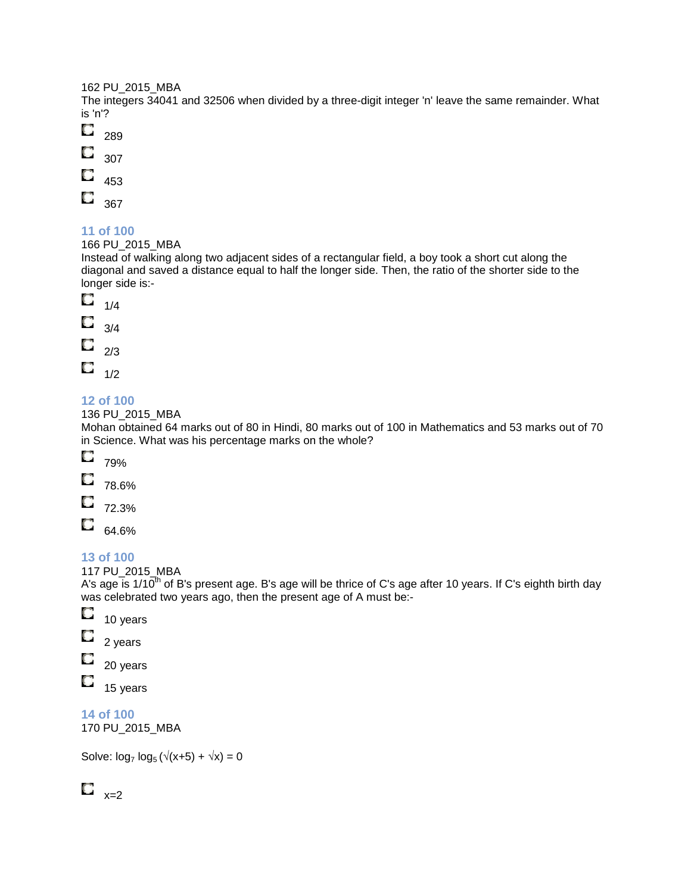#### 162 PU\_2015\_MBA

The integers 34041 and 32506 when divided by a three-digit integer 'n' leave the same remainder. What is 'n'?

- O 289
- O 307
- Q 453
- $\mathbf{C}$
- 367

### **11 of 100**

166 PU\_2015\_MBA

Instead of walking along two adjacent sides of a rectangular field, a boy took a short cut along the diagonal and saved a distance equal to half the longer side. Then, the ratio of the shorter side to the longer side is:-

- O 1/4
- O 3/4 O 2/3
- $\Box$   $_{1/2}$

### **12 of 100**

136 PU\_2015\_MBA

Mohan obtained 64 marks out of 80 in Hindi, 80 marks out of 100 in Mathematics and 53 marks out of 70 in Science. What was his percentage marks on the whole?

- О 79%
- O 78.6%
- O 72.3%
- O 64.6%

### **13 of 100**

117 PU\_2015\_MBA

A's age is 1/10<sup>th</sup> of B's present age. B's age will be thrice of C's age after 10 years. If C's eighth birth day was celebrated two years ago, then the present age of A must be:-

- О 10 years
- O 2 years
- 20 years
- O 15 years

**14 of 100** 

170 PU\_2015\_MBA

Solve:  $log_7 log_5 (\sqrt{(x+5)} + \sqrt{x}) = 0$ 

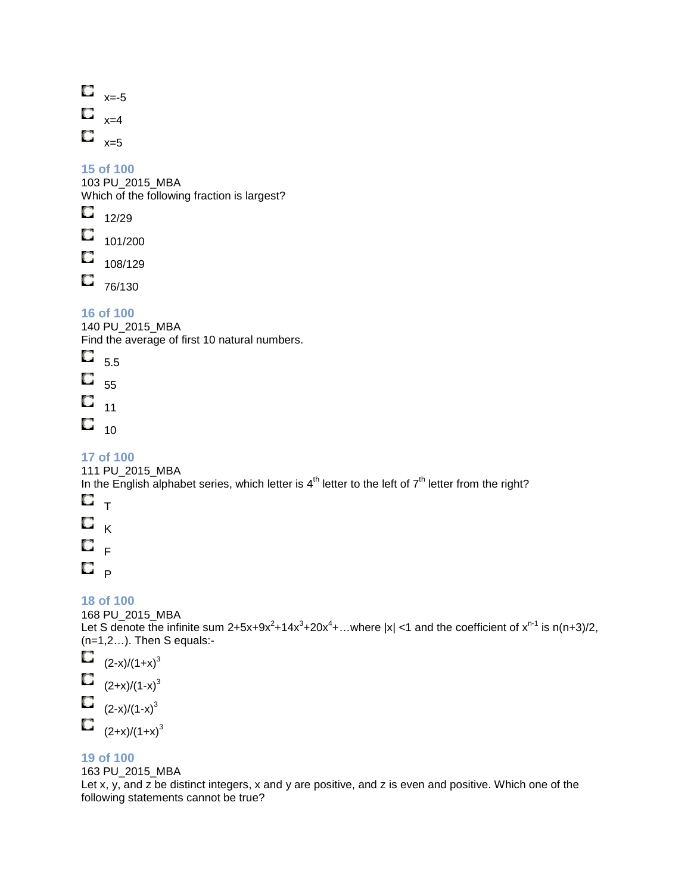| O | $x = -5$ |
|---|----------|
| O | $x=4$    |
| O | $x=5$    |

103 PU\_2015\_MBA Which of the following fraction is largest?

 $\circ$ 12/29

 $\Box$  101/200

 $\Box$ 108/129

 $\Box$  76/130

### **16 of 100**

140 PU\_2015\_MBA Find the average of first 10 natural numbers.

O 5.5

O 55 O

11

 $\Box$  <sub>10</sub>

### **17 of 100**

111 PU\_2015\_MBA

In the English alphabet series, which letter is  $4<sup>th</sup>$  letter to the left of  $7<sup>th</sup>$  letter from the right?

- $\mathbf{C}$   $_{\mathsf{T}}$
- O K
- $\mathbf{C}$  ,
- 

 $\mathbf{C}$   $_{\mathsf{P}}$ 

### **18 of 100**

168 PU\_2015\_MBA Let S denote the infinite sum 2+5x+9x<sup>2</sup>+14x<sup>3</sup>+20x<sup>4</sup>+...where |x| <1 and the coefficient of x<sup>n-1</sup> is n(n+3)/2, (n=1,2…). Then S equals:-

O  $(2-x)/(1+x)^3$ O  $(2+x)/(1-x)^3$ O  $(2-x)/(1-x)^3$  $\Box$  $(2+x)/(1+x)^3$ 

### **19 of 100**

163 PU\_2015\_MBA

Let x, y, and z be distinct integers, x and y are positive, and z is even and positive. Which one of the following statements cannot be true?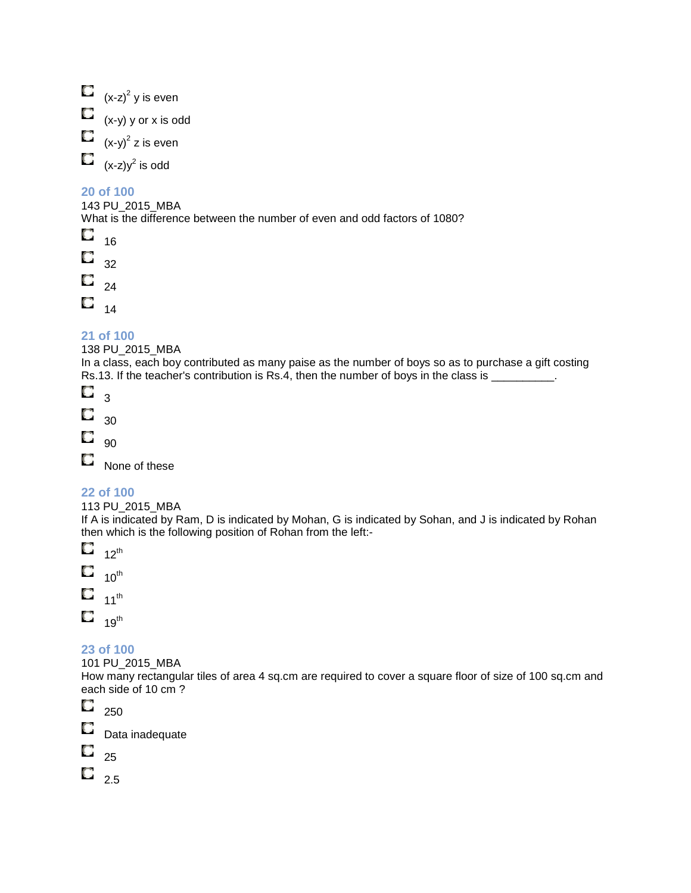$(x-z)^2$  y is even  $\Box$  (x-y) y or x is odd  $(x-y)^2$  z is even O  $(x-z)y<sup>2</sup>$  is odd

### **20 of 100**

143 PU\_2015\_MBA What is the difference between the number of even and odd factors of 1080?

О 16 O 32

 $\Box$ <sub>24</sub>

 $\Box$  14

## **21 of 100**

138 PU\_2015\_MBA

In a class, each boy contributed as many paise as the number of boys so as to purchase a gift costing Rs.13. If the teacher's contribution is Rs.4, then the number of boys in the class is \_\_\_\_\_\_\_\_\_.

O 3

O 30

O 90

0 None of these

### **22 of 100**

### 113 PU\_2015\_MBA

If A is indicated by Ram, D is indicated by Mohan, G is indicated by Sohan, and J is indicated by Rohan then which is the following position of Rohan from the left:-

O  $12^{\text{th}}$ Q  $10^{\text{th}}$ O 11 $th$ 

 $19^{\text{th}}$ 

### **23 of 100**

101 PU\_2015\_MBA

How many rectangular tiles of area 4 sq.cm are required to cover a square floor of size of 100 sq.cm and each side of 10 cm ?

O 250

Data inadequate

O 25

O

 $\Box$  2.5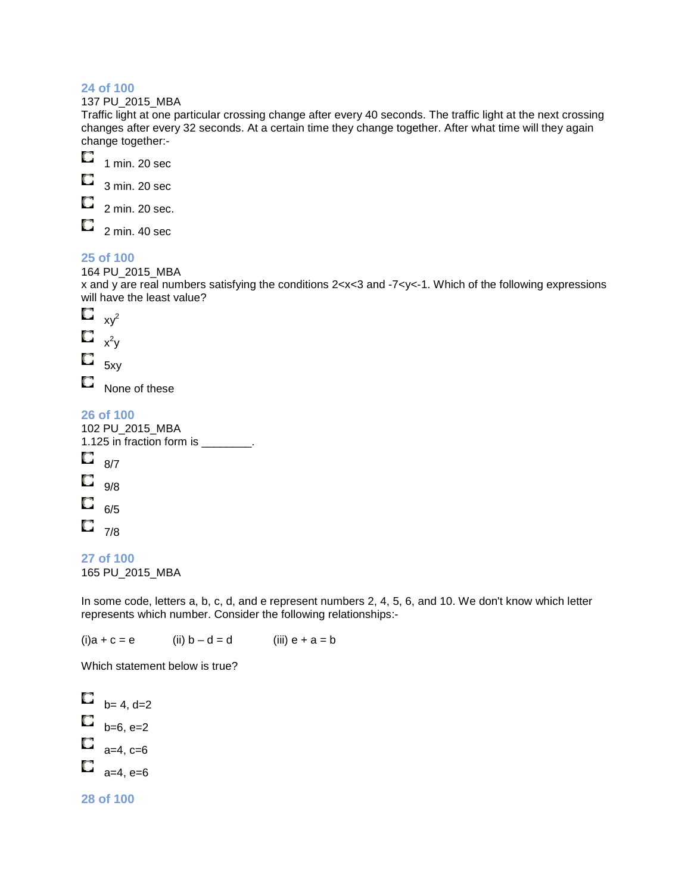137 PU\_2015\_MBA

Traffic light at one particular crossing change after every 40 seconds. The traffic light at the next crossing changes after every 32 seconds. At a certain time they change together. After what time will they again change together:-



3 min. 20 sec

O 2 min. 20 sec.

2 min. 40 sec

### **25 of 100**

O

164 PU\_2015\_MBA

x and y are real numbers satisfying the conditions 2<x<3 and -7<y<-1. Which of the following expressions will have the least value?



None of these

**26 of 100** 

```
102 PU_2015_MBA 
1.125 in fraction form is ________. 
O
     8/7 
О
     9/8 
O
     6/5 
\Box <sub>7/8</sub>
```
**27 of 100** 

165 PU\_2015\_MBA

In some code, letters a, b, c, d, and e represent numbers 2, 4, 5, 6, and 10. We don't know which letter represents which number. Consider the following relationships:-

 $(i)a + c = e$  (ii)  $b - d = d$  (iii)  $e + a = b$ 

Which statement below is true?

 $b = 4, d=2$  $b = 6, e = 2$  $\Box$  a=4, c=6 O a=4, e=6

### **28 of 100**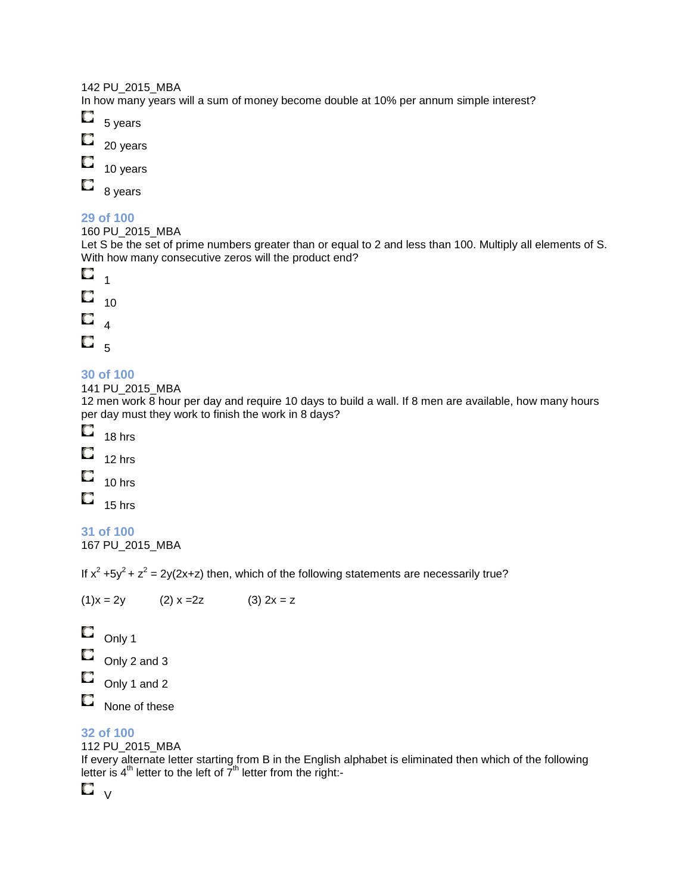#### 142 PU\_2015\_MBA

In how many years will a sum of money become double at 10% per annum simple interest?



O

10 years

O 8 years

### **29 of 100**

160 PU\_2015\_MBA

Let S be the set of prime numbers greater than or equal to 2 and less than 100. Multiply all elements of S. With how many consecutive zeros will the product end?



### **30 of 100**

141 PU\_2015\_MBA

12 men work 8 hour per day and require 10 days to build a wall. If 8 men are available, how many hours per day must they work to finish the work in 8 days?



- O 12 hrs
- O 10 hrs
- O

15 hrs

**31 of 100** 

167 PU\_2015\_MBA

If  $x^2 + 5y^2 + z^2 = 2y(2x+z)$  then, which of the following statements are necessarily true?

 $(1)x = 2y$   $(2) x = 2z$   $(3) 2x = z$ O Only 1

```
Q
    Only 2 and 3
```
- O Only 1 and 2
- O None of these

### **32 of 100**

### 112 PU\_2015\_MBA

If every alternate letter starting from B in the English alphabet is eliminated then which of the following letter is  $4<sup>th</sup>$  letter to the left of  $7<sup>th</sup>$  letter from the right:-

 $\Box$  v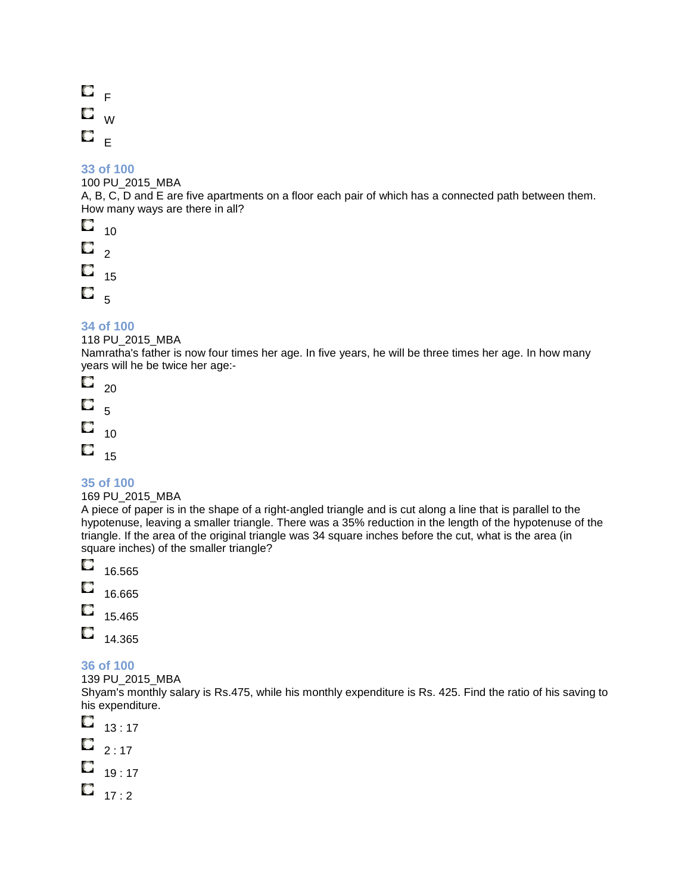$\mathbf{C}$   $_{\mathsf{F}}$ O W  $\mathbf{C}_{-E}$ 

### **33 of 100**

100 PU\_2015\_MBA

A, B, C, D and E are five apartments on a floor each pair of which has a connected path between them. How many ways are there in all?

O 10 О  $\overline{2}$ O 15 O. 5

### **34 of 100**

### 118 PU\_2015\_MBA

Namratha's father is now four times her age. In five years, he will be three times her age. In how many years will he be twice her age:-

О 20 O 5 O 10 O 15

### **35 of 100**

#### 169 PU\_2015\_MBA

A piece of paper is in the shape of a right-angled triangle and is cut along a line that is parallel to the hypotenuse, leaving a smaller triangle. There was a 35% reduction in the length of the hypotenuse of the triangle. If the area of the original triangle was 34 square inches before the cut, what is the area (in square inches) of the smaller triangle?

- О 16.565 O
- 16.665
- 15.465
- O 14.365

### **36 of 100**

139 PU\_2015\_MBA

Shyam's monthly salary is Rs.475, while his monthly expenditure is Rs. 425. Find the ratio of his saving to his expenditure.

O 13 : 17

- O  $2:17$
- $\Box$  19 : 17
- $\Box$  17 : 2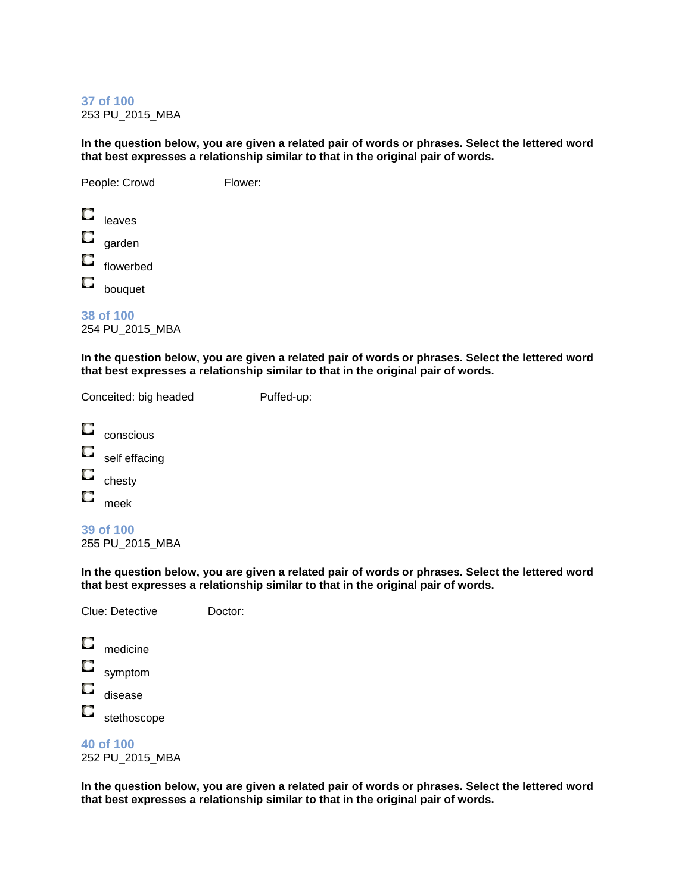**37 of 100**  253 PU\_2015\_MBA

**In the question below, you are given a related pair of words or phrases. Select the lettered word that best expresses a relationship similar to that in the original pair of words.**

People: Crowd Flower: Q leaves О garden O flowerbed O bouquet

**38 of 100**  254 PU\_2015\_MBA

**In the question below, you are given a related pair of words or phrases. Select the lettered word that best expresses a relationship similar to that in the original pair of words.**

Conceited: big headed Puffed-up:

| conscious     |
|---------------|
| self effacing |
| chesty        |
| meek          |

**39 of 100**  255 PU\_2015\_MBA

**In the question below, you are given a related pair of words or phrases. Select the lettered word that best expresses a relationship similar to that in the original pair of words.**

|   | Clue: Detective | Doctor: |
|---|-----------------|---------|
| u | medicine        |         |
| ш | symptom         |         |
|   | disease         |         |

О stethoscope

# **40 of 100**

252 PU\_2015\_MBA

**In the question below, you are given a related pair of words or phrases. Select the lettered word that best expresses a relationship similar to that in the original pair of words.**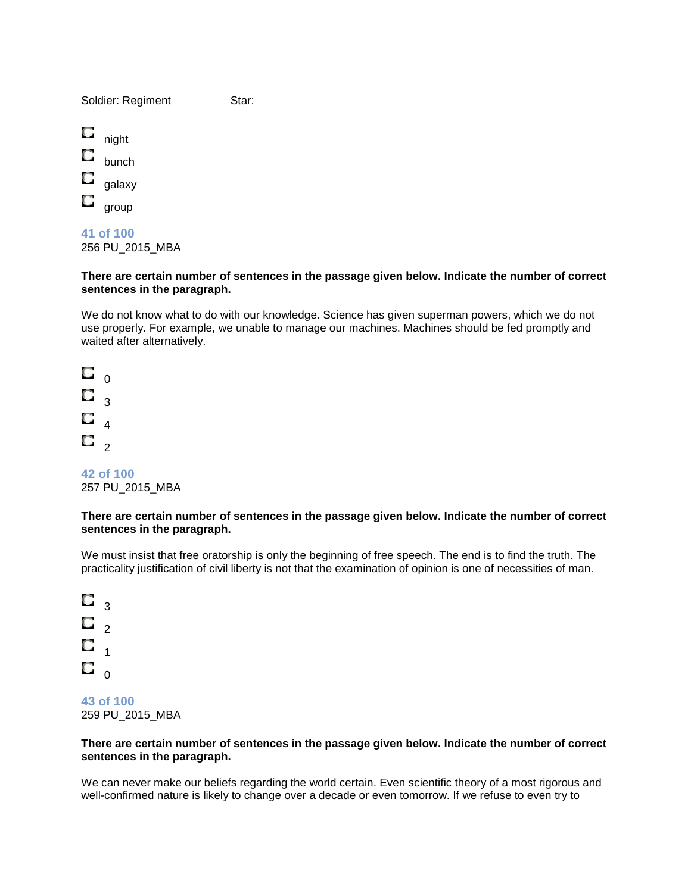Soldier: Regiment Star:

O night bunch O galaxy O group

**41 of 100**  256 PU\_2015\_MBA

#### **There are certain number of sentences in the passage given below. Indicate the number of correct sentences in the paragraph.**

We do not know what to do with our knowledge. Science has given superman powers, which we do not use properly. For example, we unable to manage our machines. Machines should be fed promptly and waited after alternatively.

O  $\Omega$ O 3 O 4  $\Box$   $_2$ 

**42 of 100**  257 PU\_2015\_MBA

#### **There are certain number of sentences in the passage given below. Indicate the number of correct sentences in the paragraph.**

We must insist that free oratorship is only the beginning of free speech. The end is to find the truth. The practicality justification of civil liberty is not that the examination of opinion is one of necessities of man.

О 3 O  $\overline{2}$ O 1 O 0

**43 of 100**  259 PU\_2015\_MBA

#### **There are certain number of sentences in the passage given below. Indicate the number of correct sentences in the paragraph.**

We can never make our beliefs regarding the world certain. Even scientific theory of a most rigorous and well-confirmed nature is likely to change over a decade or even tomorrow. If we refuse to even try to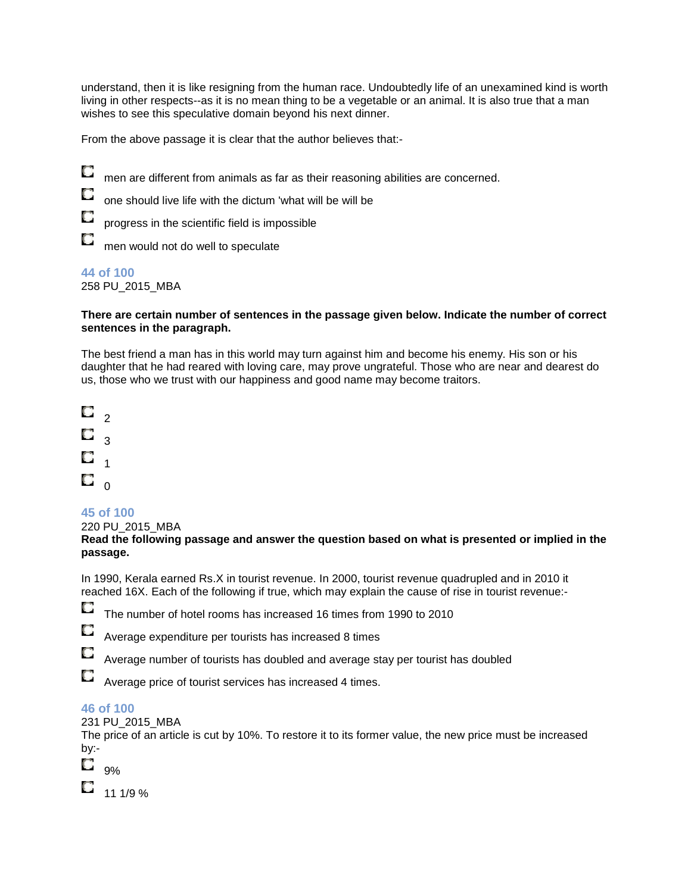understand, then it is like resigning from the human race. Undoubtedly life of an unexamined kind is worth living in other respects--as it is no mean thing to be a vegetable or an animal. It is also true that a man wishes to see this speculative domain beyond his next dinner.

From the above passage it is clear that the author believes that:-

- O men are different from animals as far as their reasoning abilities are concerned.
	- one should live life with the dictum 'what will be will be

progress in the scientific field is impossible

O men would not do well to speculate

#### **44 of 100**

258 PU\_2015\_MBA

#### **There are certain number of sentences in the passage given below. Indicate the number of correct sentences in the paragraph.**

The best friend a man has in this world may turn against him and become his enemy. His son or his daughter that he had reared with loving care, may prove ungrateful. Those who are near and dearest do us, those who we trust with our happiness and good name may become traitors.



### **45 of 100**

220 PU\_2015\_MBA

**Read the following passage and answer the question based on what is presented or implied in the passage.**

In 1990, Kerala earned Rs.X in tourist revenue. In 2000, tourist revenue quadrupled and in 2010 it reached 16X. Each of the following if true, which may explain the cause of rise in tourist revenue:-

O The number of hotel rooms has increased 16 times from 1990 to 2010

O Average expenditure per tourists has increased 8 times

O Average number of tourists has doubled and average stay per tourist has doubled

Average price of tourist services has increased 4 times.

### **46 of 100**

Q

231 PU\_2015\_MBA

The price of an article is cut by 10%. To restore it to its former value, the new price must be increased by:-

| %<br>., |
|---------|

O 11 1/9 %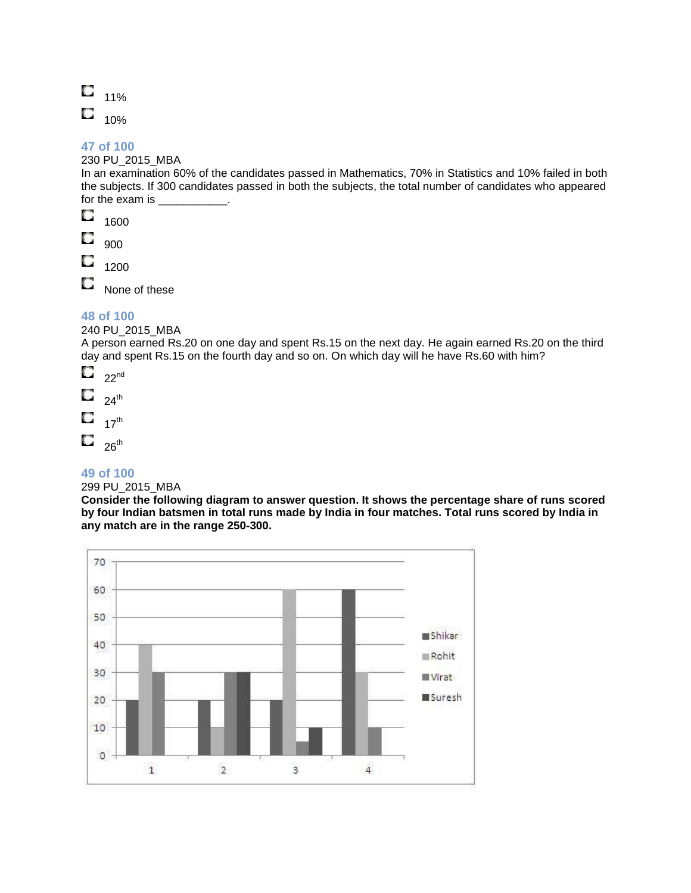| 11% |
|-----|
| 10% |

### 230 PU\_2015\_MBA

In an examination 60% of the candidates passed in Mathematics, 70% in Statistics and 10% failed in both the subjects. If 300 candidates passed in both the subjects, the total number of candidates who appeared for the exam is

- O 1600
- О 900
- O 1200

O None of these

### **48 of 100**

240 PU\_2015\_MBA

A person earned Rs.20 on one day and spent Rs.15 on the next day. He again earned Rs.20 on the third day and spent Rs.15 on the fourth day and so on. On which day will he have Rs.60 with him?

- O  $22<sub>nd</sub>$
- O  $24^{\text{th}}$
- O  $17<sup>th</sup>$
- $\Box$  26<sup>th</sup>
- 

### **49 of 100**

### 299 PU\_2015\_MBA

**Consider the following diagram to answer question. It shows the percentage share of runs scored by four Indian batsmen in total runs made by India in four matches. Total runs scored by India in any match are in the range 250-300.**

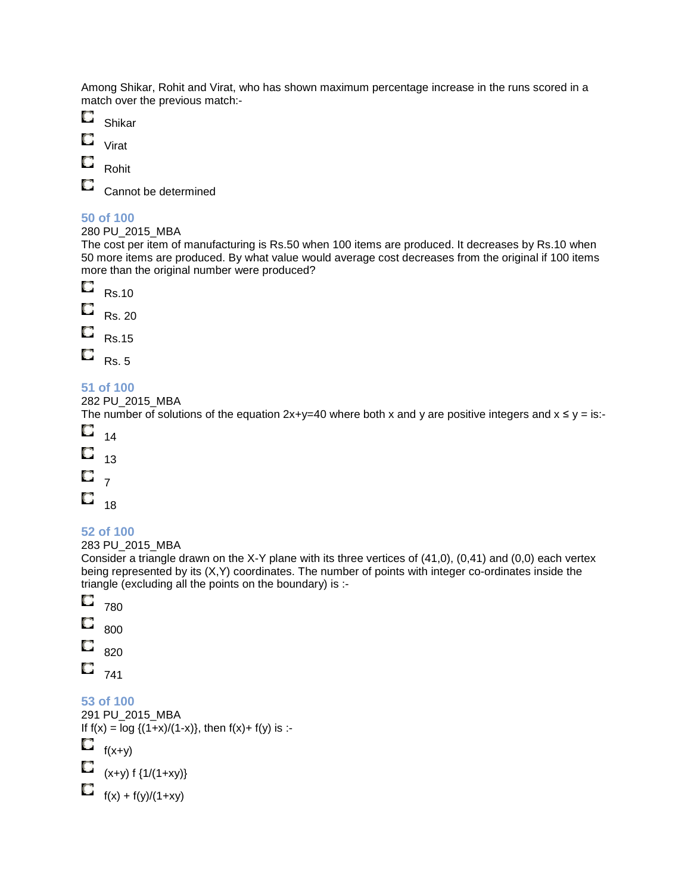Among Shikar, Rohit and Virat, who has shown maximum percentage increase in the runs scored in a match over the previous match:-

- Q Shikar
- O Virat
- O Rohit

O

Cannot be determined

### **50 of 100**

280 PU\_2015\_MBA

The cost per item of manufacturing is Rs.50 when 100 items are produced. It decreases by Rs.10 when 50 more items are produced. By what value would average cost decreases from the original if 100 items more than the original number were produced?



### **51 of 100**

282 PU\_2015\_MBA

The number of solutions of the equation  $2x+y=40$  where both x and y are positive integers and  $x \le y = is$ :-

- $\circ$  $14$ O 13
- O 7
- 
- O 18

### **52 of 100**

283 PU\_2015\_MBA

Consider a triangle drawn on the X-Y plane with its three vertices of (41,0), (0,41) and (0,0) each vertex being represented by its (X,Y) coordinates. The number of points with integer co-ordinates inside the triangle (excluding all the points on the boundary) is :-

- O 780
- O 800
- O
- 820
- O 741

**53 of 100** 

```
291 PU_2015_MBA 
If f(x) = \log \{(1+x)/(1-x)\}, then f(x) + f(y) is :-
\Box f(x+y)
\sum_{(x+y) \, \text{f} \, \{1/(1+xy)\}}f(x) + f(y)/(1+xy)
```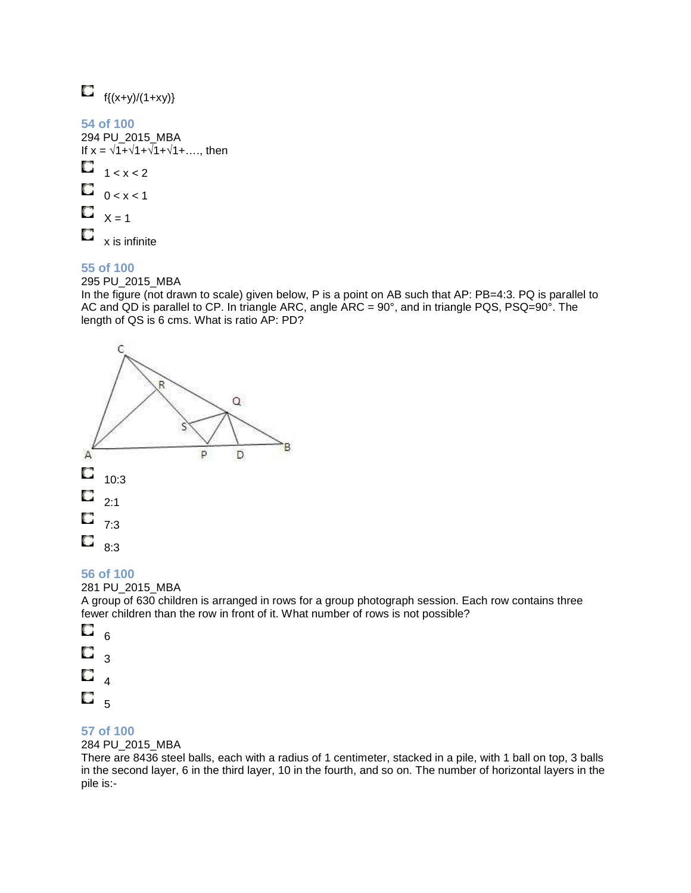

295 PU\_2015\_MBA

In the figure (not drawn to scale) given below, P is a point on AB such that AP: PB=4:3. PQ is parallel to AC and QD is parallel to CP. In triangle ARC, angle ARC = 90°, and in triangle PQS, PSQ=90°. The length of QS is 6 cms. What is ratio AP: PD?



### **56 of 100**

281 PU\_2015\_MBA

A group of 630 children is arranged in rows for a group photograph session. Each row contains three fewer children than the row in front of it. What number of rows is not possible?

O 6 О 3 O 4 O. 5

### **57 of 100**

#### 284 PU\_2015\_MBA

There are 8436 steel balls, each with a radius of 1 centimeter, stacked in a pile, with 1 ball on top, 3 balls in the second layer, 6 in the third layer, 10 in the fourth, and so on. The number of horizontal layers in the pile is:-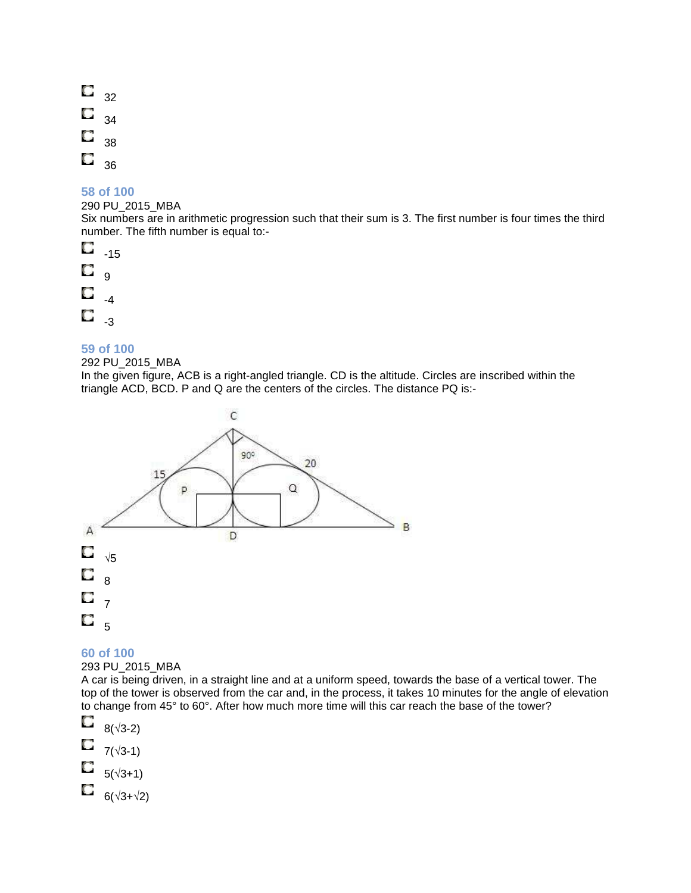O 32 O 34 O 38 Q 36

### **58 of 100**

#### 290 PU\_2015\_MBA

Six numbers are in arithmetic progression such that their sum is 3. The first number is four times the third number. The fifth number is equal to:-

O -15 O  $\overline{9}$ O -4

O -3

### **59 of 100**

#### 292 PU\_2015\_MBA

In the given figure, ACB is a right-angled triangle. CD is the altitude. Circles are inscribed within the triangle ACD, BCD. P and Q are the centers of the circles. The distance PQ is:-



### **60 of 100**

#### 293 PU\_2015\_MBA

A car is being driven, in a straight line and at a uniform speed, towards the base of a vertical tower. The top of the tower is observed from the car and, in the process, it takes 10 minutes for the angle of elevation to change from 45° to 60°. After how much more time will this car reach the base of the tower?

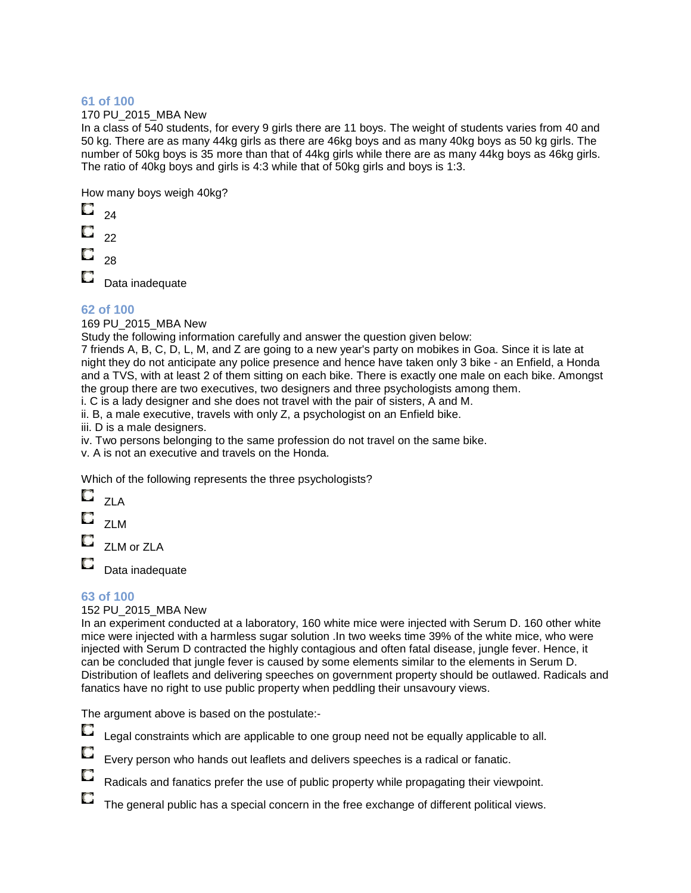#### 170 PU\_2015\_MBA New

In a class of 540 students, for every 9 girls there are 11 boys. The weight of students varies from 40 and 50 kg. There are as many 44kg girls as there are 46kg boys and as many 40kg boys as 50 kg girls. The number of 50kg boys is 35 more than that of 44kg girls while there are as many 44kg boys as 46kg girls. The ratio of 40kg boys and girls is 4:3 while that of 50kg girls and boys is 1:3.

How many boys weigh 40kg?

- O  $24$
- О 22
- 
- 28

Data inadequate

### **62 of 100**

169 PU\_2015\_MBA New

Study the following information carefully and answer the question given below:

7 friends A, B, C, D, L, M, and Z are going to a new year's party on mobikes in Goa. Since it is late at night they do not anticipate any police presence and hence have taken only 3 bike - an Enfield, a Honda and a TVS, with at least 2 of them sitting on each bike. There is exactly one male on each bike. Amongst the group there are two executives, two designers and three psychologists among them.

i. C is a lady designer and she does not travel with the pair of sisters, A and M.

ii. B, a male executive, travels with only Z, a psychologist on an Enfield bike.

iii. D is a male designers.

iv. Two persons belonging to the same profession do not travel on the same bike.

v. A is not an executive and travels on the Honda.

Which of the following represents the three psychologists?

 $\overline{\mathbf{C}}$  <sub>zla</sub> O ZLM

ZLM or ZLA

O Data inadequate

### **63 of 100**

### 152 PU\_2015\_MBA New

In an experiment conducted at a laboratory, 160 white mice were injected with Serum D. 160 other white mice were injected with a harmless sugar solution .In two weeks time 39% of the white mice, who were injected with Serum D contracted the highly contagious and often fatal disease, jungle fever. Hence, it can be concluded that jungle fever is caused by some elements similar to the elements in Serum D. Distribution of leaflets and delivering speeches on government property should be outlawed. Radicals and fanatics have no right to use public property when peddling their unsavoury views.

The argument above is based on the postulate:-

О Legal constraints which are applicable to one group need not be equally applicable to all.

Every person who hands out leaflets and delivers speeches is a radical or fanatic.

Radicals and fanatics prefer the use of public property while propagating their viewpoint.

 $\Box$ The general public has a special concern in the free exchange of different political views.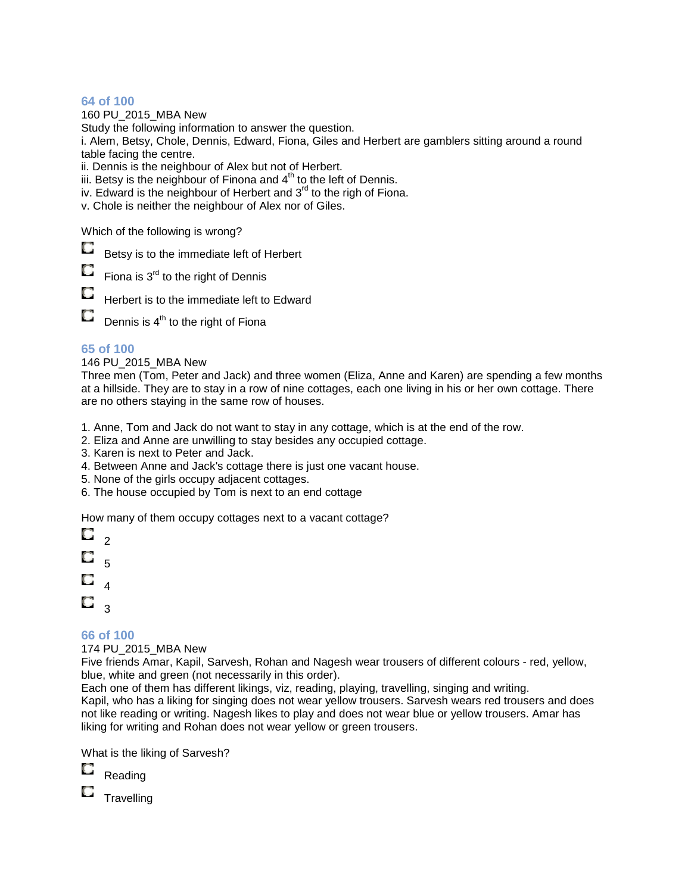160 PU\_2015\_MBA New

Study the following information to answer the question.

i. Alem, Betsy, Chole, Dennis, Edward, Fiona, Giles and Herbert are gamblers sitting around a round table facing the centre.

ii. Dennis is the neighbour of Alex but not of Herbert.

iii. Betsy is the neighbour of Finona and  $4<sup>th</sup>$  to the left of Dennis.

iv. Edward is the neighbour of Herbert and  $3<sup>rd</sup>$  to the righ of Fiona.

v. Chole is neither the neighbour of Alex nor of Giles.

Which of the following is wrong?

0 Betsy is to the immediate left of Herbert

O Fiona is  $3<sup>rd</sup>$  to the right of Dennis

O Herbert is to the immediate left to Edward

 $\Box$  Dennis is 4<sup>th</sup> to the right of Fiona

### **65 of 100**

146 PU\_2015\_MBA New

Three men (Tom, Peter and Jack) and three women (Eliza, Anne and Karen) are spending a few months at a hillside. They are to stay in a row of nine cottages, each one living in his or her own cottage. There are no others staying in the same row of houses.

1. Anne, Tom and Jack do not want to stay in any cottage, which is at the end of the row.

- 2. Eliza and Anne are unwilling to stay besides any occupied cottage.
- 3. Karen is next to Peter and Jack.
- 4. Between Anne and Jack's cottage there is just one vacant house.
- 5. None of the girls occupy adjacent cottages.
- 6. The house occupied by Tom is next to an end cottage

How many of them occupy cottages next to a vacant cottage?

O.  $\overline{2}$ O 5 О 4  $\Box$ 

### **66 of 100**

174 PU\_2015\_MBA New

Five friends Amar, Kapil, Sarvesh, Rohan and Nagesh wear trousers of different colours - red, yellow, blue, white and green (not necessarily in this order).

Each one of them has different likings, viz, reading, playing, travelling, singing and writing. Kapil, who has a liking for singing does not wear yellow trousers. Sarvesh wears red trousers and does not like reading or writing. Nagesh likes to play and does not wear blue or yellow trousers. Amar has liking for writing and Rohan does not wear yellow or green trousers.

What is the liking of Sarvesh?



 $\square$  Travelling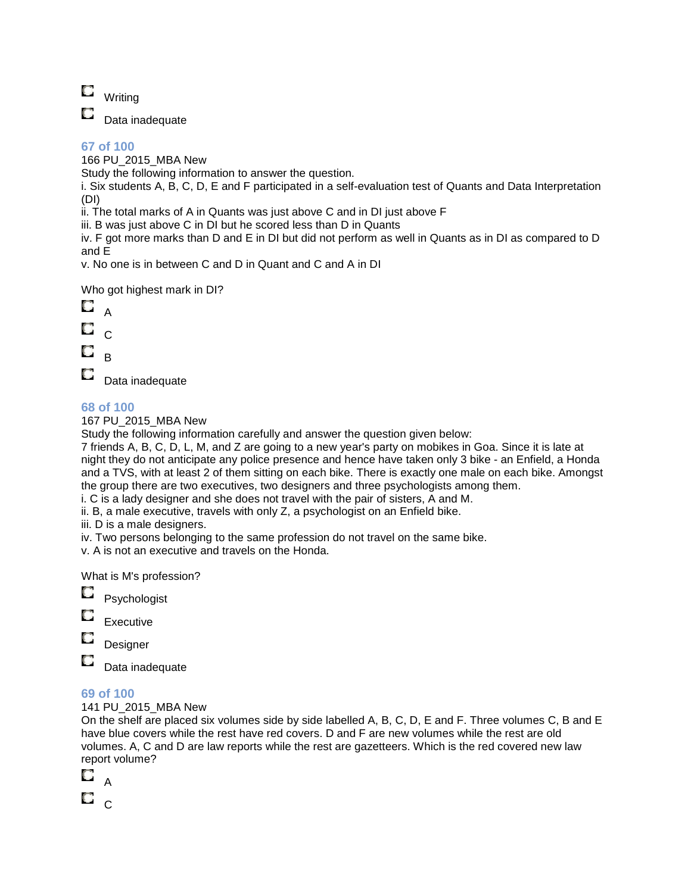$\Box$ Writing

O Data inadequate

### **67 of 100**

166 PU\_2015\_MBA New

Study the following information to answer the question.

i. Six students A, B, C, D, E and F participated in a self-evaluation test of Quants and Data Interpretation (DI)

ii. The total marks of A in Quants was just above C and in DI just above F

iii. B was just above C in DI but he scored less than D in Quants

iv. F got more marks than D and E in DI but did not perform as well in Quants as in DI as compared to D and E

v. No one is in between C and D in Quant and C and A in DI

Who got highest mark in DI?



O Data inadequate

### **68 of 100**

167 PU\_2015\_MBA New

Study the following information carefully and answer the question given below:

7 friends A, B, C, D, L, M, and Z are going to a new year's party on mobikes in Goa. Since it is late at night they do not anticipate any police presence and hence have taken only 3 bike - an Enfield, a Honda and a TVS, with at least 2 of them sitting on each bike. There is exactly one male on each bike. Amongst the group there are two executives, two designers and three psychologists among them. i. C is a lady designer and she does not travel with the pair of sisters, A and M.

ii. B, a male executive, travels with only Z, a psychologist on an Enfield bike.

iii. D is a male designers.

iv. Two persons belonging to the same profession do not travel on the same bike.

v. A is not an executive and travels on the Honda.

What is M's profession?

O Psychologist

O Executive

O

Designer

O Data inadequate

### **69 of 100**

141 PU\_2015\_MBA New

On the shelf are placed six volumes side by side labelled A, B, C, D, E and F. Three volumes C, B and E have blue covers while the rest have red covers. D and F are new volumes while the rest are old volumes. A, C and D are law reports while the rest are gazetteers. Which is the red covered new law report volume?

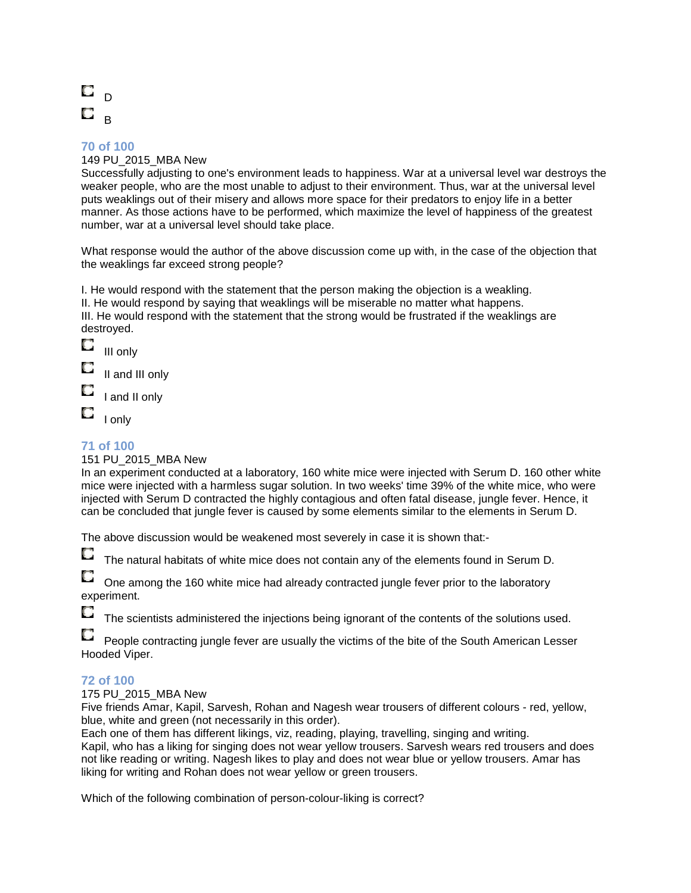#### 149 PU\_2015\_MBA New

Successfully adjusting to one's environment leads to happiness. War at a universal level war destroys the weaker people, who are the most unable to adjust to their environment. Thus, war at the universal level puts weaklings out of their misery and allows more space for their predators to enjoy life in a better manner. As those actions have to be performed, which maximize the level of happiness of the greatest number, war at a universal level should take place.

What response would the author of the above discussion come up with, in the case of the objection that the weaklings far exceed strong people?

I. He would respond with the statement that the person making the objection is a weakling. II. He would respond by saying that weaklings will be miserable no matter what happens. III. He would respond with the statement that the strong would be frustrated if the weaklings are destroyed.

О III only

O II and III only

O I and II only

O I only

### **71 of 100**

#### 151 PU\_2015\_MBA New

In an experiment conducted at a laboratory, 160 white mice were injected with Serum D. 160 other white mice were injected with a harmless sugar solution. In two weeks' time 39% of the white mice, who were injected with Serum D contracted the highly contagious and often fatal disease, jungle fever. Hence, it can be concluded that jungle fever is caused by some elements similar to the elements in Serum D.

The above discussion would be weakened most severely in case it is shown that:-

О The natural habitats of white mice does not contain any of the elements found in Serum D.

One among the 160 white mice had already contracted jungle fever prior to the laboratory experiment.

O The scientists administered the injections being ignorant of the contents of the solutions used.

People contracting jungle fever are usually the victims of the bite of the South American Lesser Hooded Viper.

### **72 of 100**

175 PU\_2015\_MBA New

Five friends Amar, Kapil, Sarvesh, Rohan and Nagesh wear trousers of different colours - red, yellow, blue, white and green (not necessarily in this order).

Each one of them has different likings, viz, reading, playing, travelling, singing and writing. Kapil, who has a liking for singing does not wear yellow trousers. Sarvesh wears red trousers and does not like reading or writing. Nagesh likes to play and does not wear blue or yellow trousers. Amar has liking for writing and Rohan does not wear yellow or green trousers.

Which of the following combination of person-colour-liking is correct?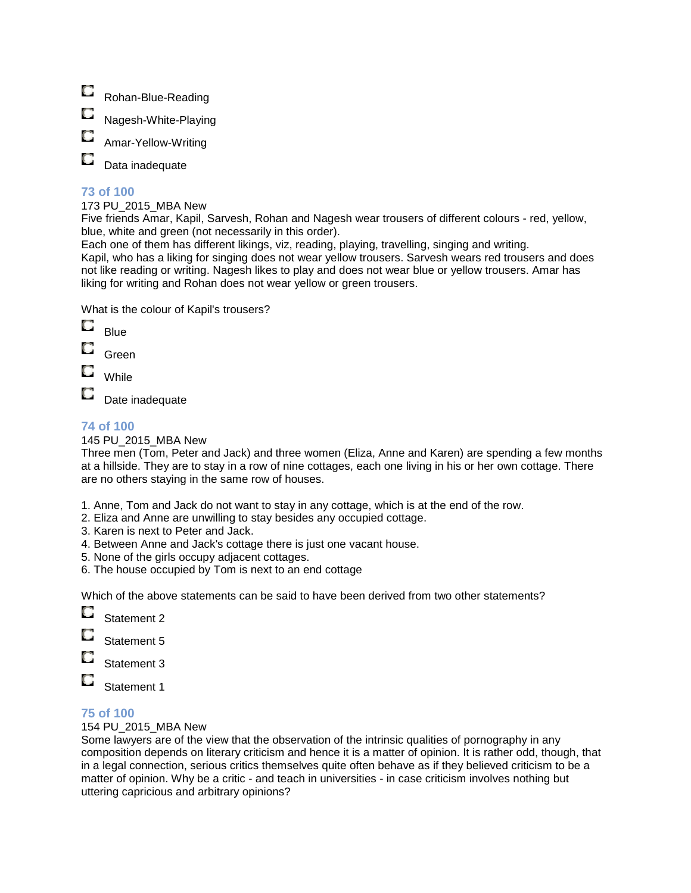- $\Box$ Rohan-Blue-Reading
- Nagesh-White-Playing
- Amar-Yellow-Writing
- O Data inadequate

173 PU\_2015\_MBA New

Five friends Amar, Kapil, Sarvesh, Rohan and Nagesh wear trousers of different colours - red, yellow, blue, white and green (not necessarily in this order).

Each one of them has different likings, viz, reading, playing, travelling, singing and writing. Kapil, who has a liking for singing does not wear yellow trousers. Sarvesh wears red trousers and does not like reading or writing. Nagesh likes to play and does not wear blue or yellow trousers. Amar has liking for writing and Rohan does not wear yellow or green trousers.

What is the colour of Kapil's trousers?

- O Blue
- Green
- While

Date inadequate

### **74 of 100**

### 145 PU\_2015\_MBA New

Three men (Tom, Peter and Jack) and three women (Eliza, Anne and Karen) are spending a few months at a hillside. They are to stay in a row of nine cottages, each one living in his or her own cottage. There are no others staying in the same row of houses.

- 1. Anne, Tom and Jack do not want to stay in any cottage, which is at the end of the row.
- 2. Eliza and Anne are unwilling to stay besides any occupied cottage.
- 3. Karen is next to Peter and Jack.
- 4. Between Anne and Jack's cottage there is just one vacant house.
- 5. None of the girls occupy adjacent cottages.
- 6. The house occupied by Tom is next to an end cottage

Which of the above statements can be said to have been derived from two other statements?

- O Statement 2
- Statement 5
- Statement 3
- O Statement 1

### **75 of 100**

### 154 PU\_2015\_MBA New

Some lawyers are of the view that the observation of the intrinsic qualities of pornography in any composition depends on literary criticism and hence it is a matter of opinion. It is rather odd, though, that in a legal connection, serious critics themselves quite often behave as if they believed criticism to be a matter of opinion. Why be a critic - and teach in universities - in case criticism involves nothing but uttering capricious and arbitrary opinions?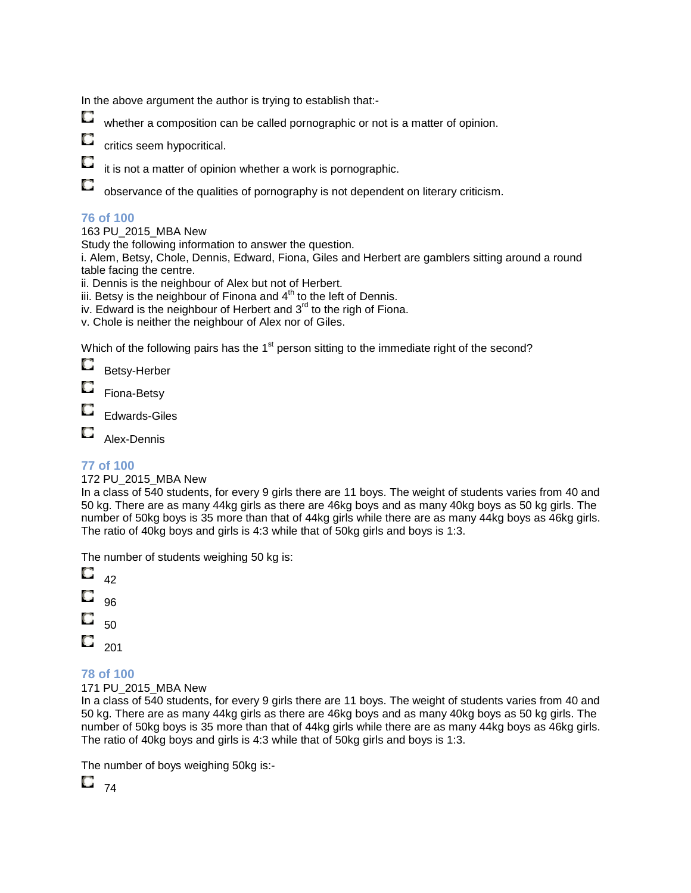In the above argument the author is trying to establish that:-

O

O

O

whether a composition can be called pornographic or not is a matter of opinion.

- O critics seem hypocritical.
	- it is not a matter of opinion whether a work is pornographic.
	- observance of the qualities of pornography is not dependent on literary criticism.

### **76 of 100**

### 163 PU\_2015\_MBA New

Study the following information to answer the question.

i. Alem, Betsy, Chole, Dennis, Edward, Fiona, Giles and Herbert are gamblers sitting around a round table facing the centre.

- ii. Dennis is the neighbour of Alex but not of Herbert.
- iii. Betsy is the neighbour of Finona and  $4<sup>th</sup>$  to the left of Dennis.
- iv. Edward is the neighbour of Herbert and  $3<sup>rd</sup>$  to the righ of Fiona.
- v. Chole is neither the neighbour of Alex nor of Giles.

Which of the following pairs has the 1<sup>st</sup> person sitting to the immediate right of the second?

O Betsy-Herber

Fiona-Betsy

Edwards-Giles

O Alex-Dennis

### **77 of 100**

### 172 PU\_2015\_MBA New

In a class of 540 students, for every 9 girls there are 11 boys. The weight of students varies from 40 and 50 kg. There are as many 44kg girls as there are 46kg boys and as many 40kg boys as 50 kg girls. The number of 50kg boys is 35 more than that of 44kg girls while there are as many 44kg boys as 46kg girls. The ratio of 40kg boys and girls is 4:3 while that of 50kg girls and boys is 1:3.

The number of students weighing 50 kg is:

### **78 of 100**

171 PU\_2015\_MBA New

In a class of 540 students, for every 9 girls there are 11 boys. The weight of students varies from 40 and 50 kg. There are as many 44kg girls as there are 46kg boys and as many 40kg boys as 50 kg girls. The number of 50kg boys is 35 more than that of 44kg girls while there are as many 44kg boys as 46kg girls. The ratio of 40kg boys and girls is 4:3 while that of 50kg girls and boys is 1:3.

The number of boys weighing 50kg is:-

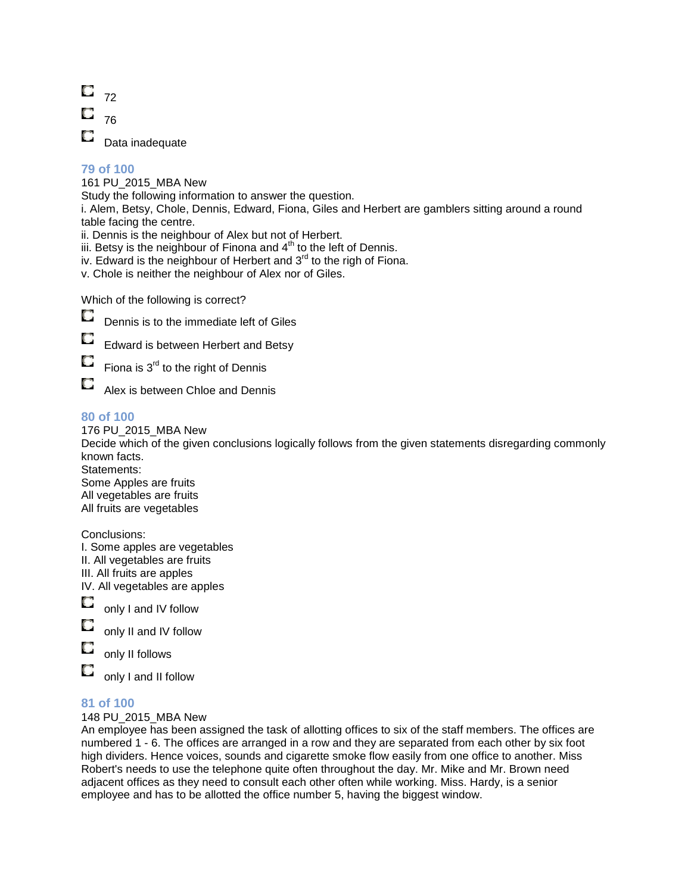

161 PU\_2015\_MBA New

Study the following information to answer the question.

i. Alem, Betsy, Chole, Dennis, Edward, Fiona, Giles and Herbert are gamblers sitting around a round table facing the centre.

- ii. Dennis is the neighbour of Alex but not of Herbert.
- iii. Betsy is the neighbour of Finona and  $4<sup>th</sup>$  to the left of Dennis.
- iv. Edward is the neighbour of Herbert and  $3<sup>rd</sup>$  to the righ of Fiona.

v. Chole is neither the neighbour of Alex nor of Giles.

Which of the following is correct?



О

Edward is between Herbert and Betsy

О Fiona is  $3<sup>rd</sup>$  to the right of Dennis

O Alex is between Chloe and Dennis

### **80 of 100**

176 PU\_2015\_MBA New

Decide which of the given conclusions logically follows from the given statements disregarding commonly known facts.

Statements: Some Apples are fruits All vegetables are fruits All fruits are vegetables

Conclusions:

- I. Some apples are vegetables
- II. All vegetables are fruits
- III. All fruits are apples

IV. All vegetables are apples



only I and IV follow

only II and IV follow

О only II follows

O only I and II follow

### **81 of 100**

148 PU\_2015\_MBA New

An employee has been assigned the task of allotting offices to six of the staff members. The offices are numbered 1 - 6. The offices are arranged in a row and they are separated from each other by six foot high dividers. Hence voices, sounds and cigarette smoke flow easily from one office to another. Miss Robert's needs to use the telephone quite often throughout the day. Mr. Mike and Mr. Brown need adjacent offices as they need to consult each other often while working. Miss. Hardy, is a senior employee and has to be allotted the office number 5, having the biggest window.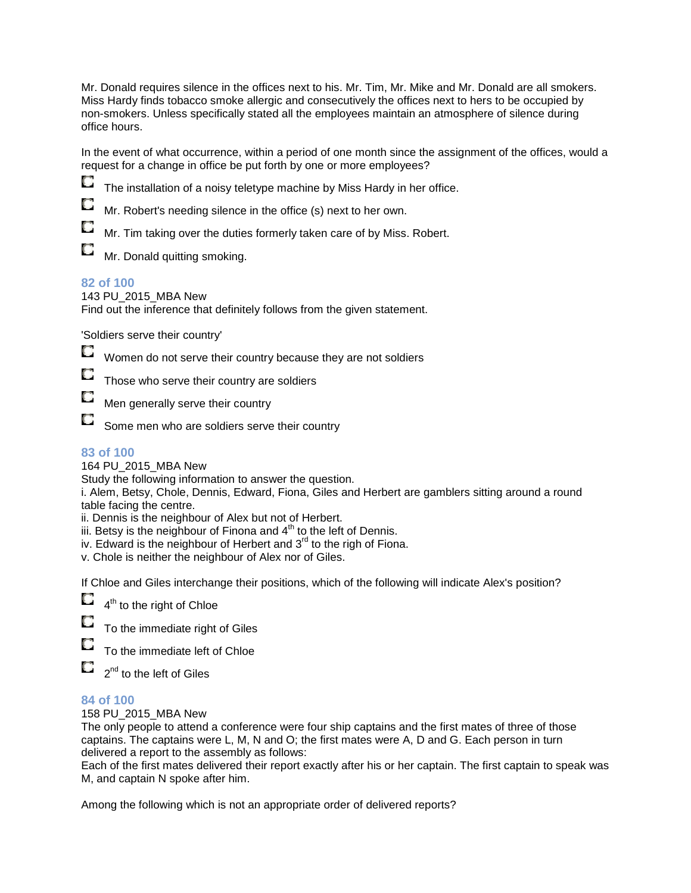Mr. Donald requires silence in the offices next to his. Mr. Tim, Mr. Mike and Mr. Donald are all smokers. Miss Hardy finds tobacco smoke allergic and consecutively the offices next to hers to be occupied by non-smokers. Unless specifically stated all the employees maintain an atmosphere of silence during office hours.

In the event of what occurrence, within a period of one month since the assignment of the offices, would a request for a change in office be put forth by one or more employees?

О The installation of a noisy teletype machine by Miss Hardy in her office.

Mr. Robert's needing silence in the office (s) next to her own.

Mr. Tim taking over the duties formerly taken care of by Miss. Robert.

Mr. Donald quitting smoking.

### **82 of 100**

O

O

#### 143 PU\_2015\_MBA New

Find out the inference that definitely follows from the given statement.

'Soldiers serve their country'

O Women do not serve their country because they are not soldiers

Those who serve their country are soldiers

Men generally serve their country

О Some men who are soldiers serve their country

### **83 of 100**

164 PU\_2015\_MBA New

Study the following information to answer the question.

i. Alem, Betsy, Chole, Dennis, Edward, Fiona, Giles and Herbert are gamblers sitting around a round table facing the centre.

ii. Dennis is the neighbour of Alex but not of Herbert.

iii. Betsy is the neighbour of Finona and  $4<sup>th</sup>$  to the left of Dennis.

iv. Edward is the neighbour of Herbert and  $3<sup>rd</sup>$  to the righ of Fiona.

v. Chole is neither the neighbour of Alex nor of Giles.

If Chloe and Giles interchange their positions, which of the following will indicate Alex's position?



4<sup>th</sup> to the right of Chloe

To the immediate right of Giles

 $\Box$ To the immediate left of Chloe

O 2<sup>nd</sup> to the left of Giles

### **84 of 100**

158 PU\_2015\_MBA New

The only people to attend a conference were four ship captains and the first mates of three of those captains. The captains were L, M, N and O; the first mates were A, D and G. Each person in turn delivered a report to the assembly as follows:

Each of the first mates delivered their report exactly after his or her captain. The first captain to speak was M, and captain N spoke after him.

Among the following which is not an appropriate order of delivered reports?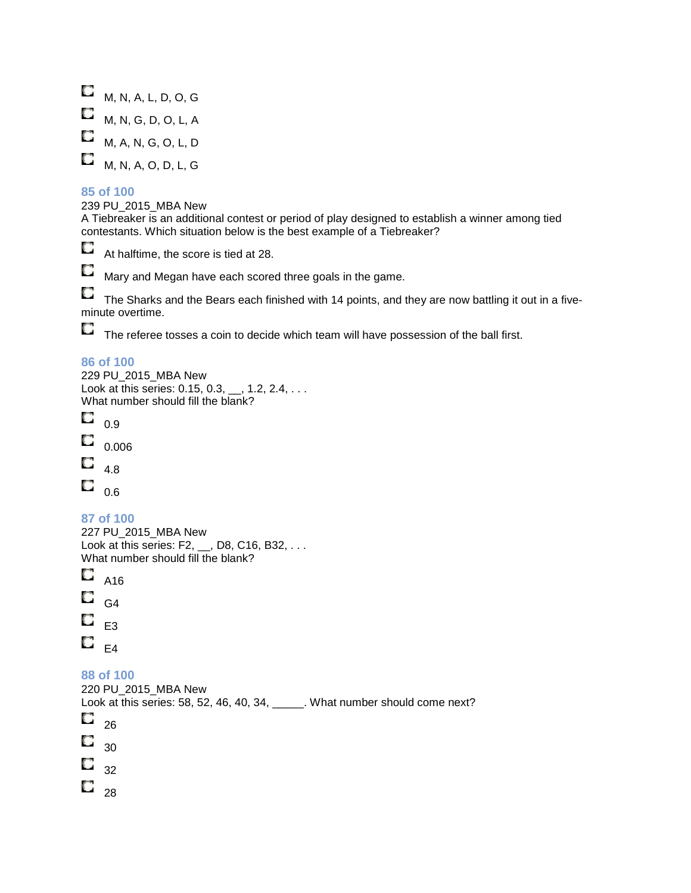$M, N, A, L, D, O, G$  $M, N, G, D, O, L, A$  $M$ , A, N, G, O, L, D  $M, N, A, O, D, L, G$ 

#### **85 of 100**

239 PU\_2015\_MBA New

A Tiebreaker is an additional contest or period of play designed to establish a winner among tied contestants. Which situation below is the best example of a Tiebreaker?

O At halftime, the score is tied at 28.

O Mary and Megan have each scored three goals in the game.

 $\Box$  The Sharks and the Bears each finished with 14 points, and they are now battling it out in a fiveminute overtime.

 $\Box$  The referee tosses a coin to decide which team will have possession of the ball first.

#### **86 of 100**

229 PU\_2015\_MBA New Look at this series:  $0.15, 0.3, ..., 1.2, 2.4, ...$ What number should fill the blank? O 0.9 O 0.006 Q 4.8  $\Box$  0.6 **87 of 100**  227 PU\_2015\_MBA New Look at this series: F2, \_\_, D8, C16, B32, . . . What number should fill the blank? O A16 O G4 O E3  $\Box$   $_{\rm E4}$ **88 of 100**  220 PU\_2015\_MBA New Look at this series: 58, 52, 46, 40, 34, What number should come next? Q 26 О 30 O 32  $\Box_{28}$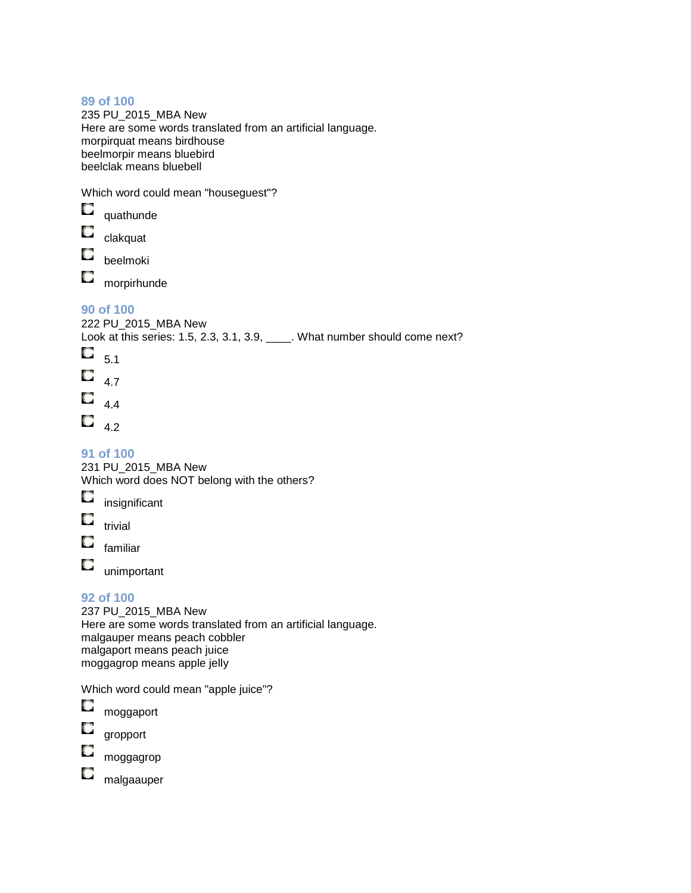235 PU\_2015\_MBA New Here are some words translated from an artificial language. morpirquat means birdhouse beelmorpir means bluebird beelclak means bluebell

Which word could mean "houseguest"?

| O                     | quathunde                                                                                                                                                   |
|-----------------------|-------------------------------------------------------------------------------------------------------------------------------------------------------------|
| О                     | clakquat                                                                                                                                                    |
| О                     | beelmoki                                                                                                                                                    |
| О                     | morpirhunde                                                                                                                                                 |
| $\Box$ <sub>5.1</sub> | 90 of 100<br>222 PU_2015_MBA New<br>Look at this series: 1.5, 2.3, 3.1, 3.9, _____. What number should come next?<br>$\Box$ 4.7<br>$\Box$ 4.4<br>$\Box$ 4.2 |
|                       | 91 of 100<br>231 PU_2015_MBA New<br>Which word does NOT belong with the others?<br>insignificant                                                            |

 $\Box$ trivial

O familiar

unimportant

### **92 of 100**

O

237 PU\_2015\_MBA New Here are some words translated from an artificial language. malgauper means peach cobbler malgaport means peach juice moggagrop means apple jelly

Which word could mean "apple juice"?

| moggaport |
|-----------|

О gropport

O moggagrop

 $\Box$ malgaauper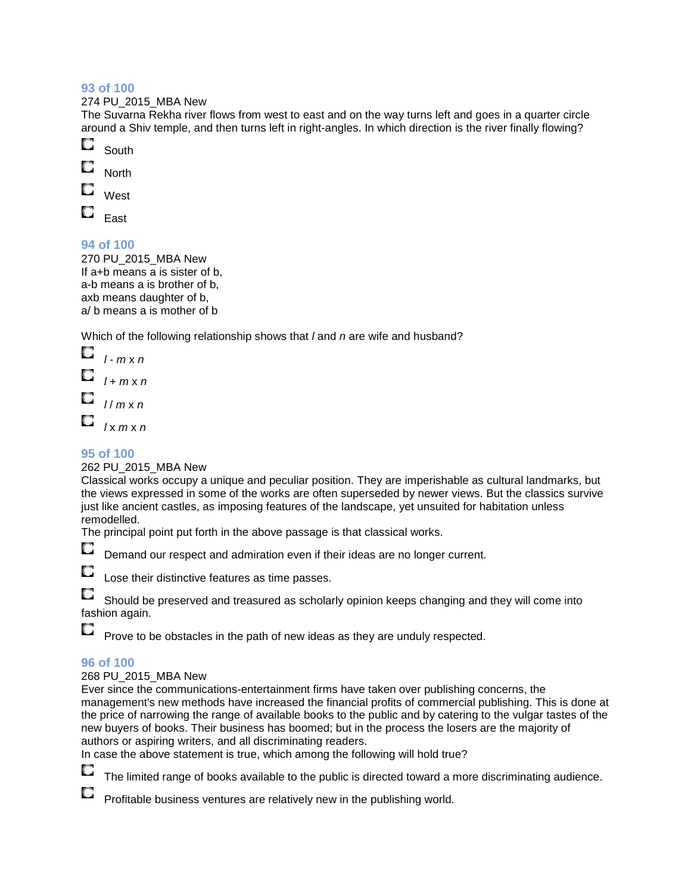#### 274 PU\_2015\_MBA New

The Suvarna Rekha river flows from west to east and on the way turns left and goes in a quarter circle around a Shiv temple, and then turns left in right-angles. In which direction is the river finally flowing?

- О South
- O **North**
- О West
- 
- O East

### **94 of 100**

270 PU\_2015\_MBA New If a+b means a is sister of b, a-b means a is brother of b, axb means daughter of b, a/ b means a is mother of b

Which of the following relationship shows that *I* and *n* are wife and husband?

 $\Box$   $I - m \times n$ O  $l + m \times n$  $\Box$  // m x n O  $lx$  m x n

### **95 of 100**

### 262 PU\_2015\_MBA New

Classical works occupy a unique and peculiar position. They are imperishable as cultural landmarks, but the views expressed in some of the works are often superseded by newer views. But the classics survive just like ancient castles, as imposing features of the landscape, yet unsuited for habitation unless remodelled.

The principal point put forth in the above passage is that classical works.

O

Demand our respect and admiration even if their ideas are no longer current.

O

O

Lose their distinctive features as time passes.

O Should be preserved and treasured as scholarly opinion keeps changing and they will come into fashion again.

Prove to be obstacles in the path of new ideas as they are unduly respected.

### **96 of 100**

### 268 PU\_2015\_MBA New

Ever since the communications-entertainment firms have taken over publishing concerns, the management's new methods have increased the financial profits of commercial publishing. This is done at the price of narrowing the range of available books to the public and by catering to the vulgar tastes of the new buyers of books. Their business has boomed; but in the process the losers are the majority of authors or aspiring writers, and all discriminating readers.

In case the above statement is true, which among the following will hold true?



The limited range of books available to the public is directed toward a more discriminating audience.

Profitable business ventures are relatively new in the publishing world.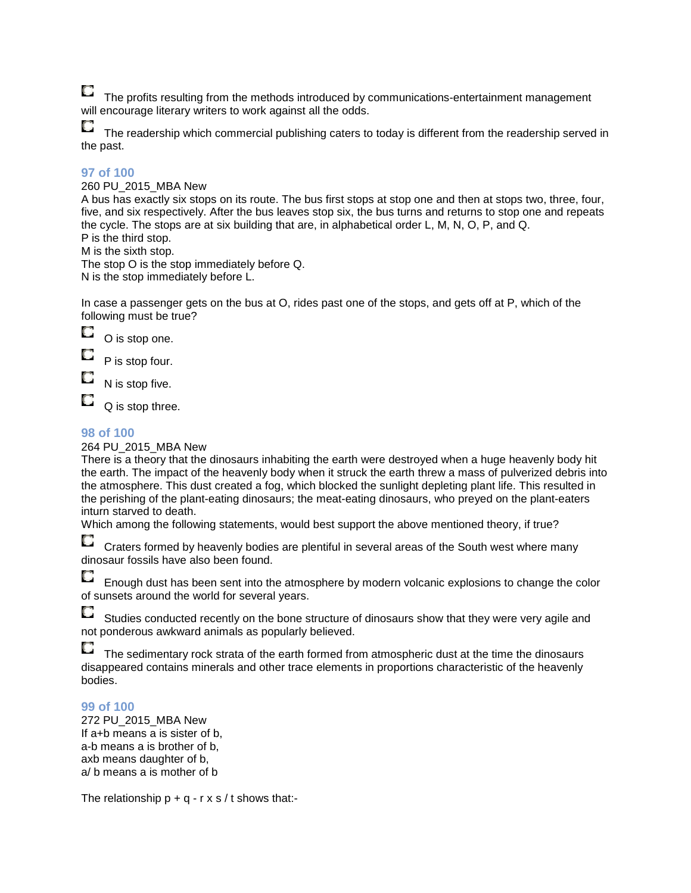$\Box$ 

The profits resulting from the methods introduced by communications-entertainment management will encourage literary writers to work against all the odds.

 $\Box$  The readership which commercial publishing caters to today is different from the readership served in the past.

### **97 of 100**

#### 260 PU\_2015\_MBA New

A bus has exactly six stops on its route. The bus first stops at stop one and then at stops two, three, four, five, and six respectively. After the bus leaves stop six, the bus turns and returns to stop one and repeats the cycle. The stops are at six building that are, in alphabetical order L, M, N, O, P, and Q. P is the third stop.

M is the sixth stop.

The stop O is the stop immediately before Q. N is the stop immediately before L.

In case a passenger gets on the bus at O, rides past one of the stops, and gets off at P, which of the following must be true?

0 O is stop one.

O P is stop four.

О N is stop five.

O Q is stop three.

### **98 of 100**

264 PU\_2015\_MBA New

There is a theory that the dinosaurs inhabiting the earth were destroyed when a huge heavenly body hit the earth. The impact of the heavenly body when it struck the earth threw a mass of pulverized debris into the atmosphere. This dust created a fog, which blocked the sunlight depleting plant life. This resulted in the perishing of the plant-eating dinosaurs; the meat-eating dinosaurs, who preyed on the plant-eaters inturn starved to death.

Which among the following statements, would best support the above mentioned theory, if true?

Craters formed by heavenly bodies are plentiful in several areas of the South west where many dinosaur fossils have also been found.

O Enough dust has been sent into the atmosphere by modern volcanic explosions to change the color of sunsets around the world for several years.

Studies conducted recently on the bone structure of dinosaurs show that they were very agile and not ponderous awkward animals as popularly believed.

 $\Box$  The sedimentary rock strata of the earth formed from atmospheric dust at the time the dinosaurs disappeared contains minerals and other trace elements in proportions characteristic of the heavenly bodies.

### **99 of 100**

272 PU\_2015\_MBA New If a+b means a is sister of b, a-b means a is brother of b, axb means daughter of b, a/ b means a is mother of b

The relationship  $p + q - r \times s / t$  shows that:-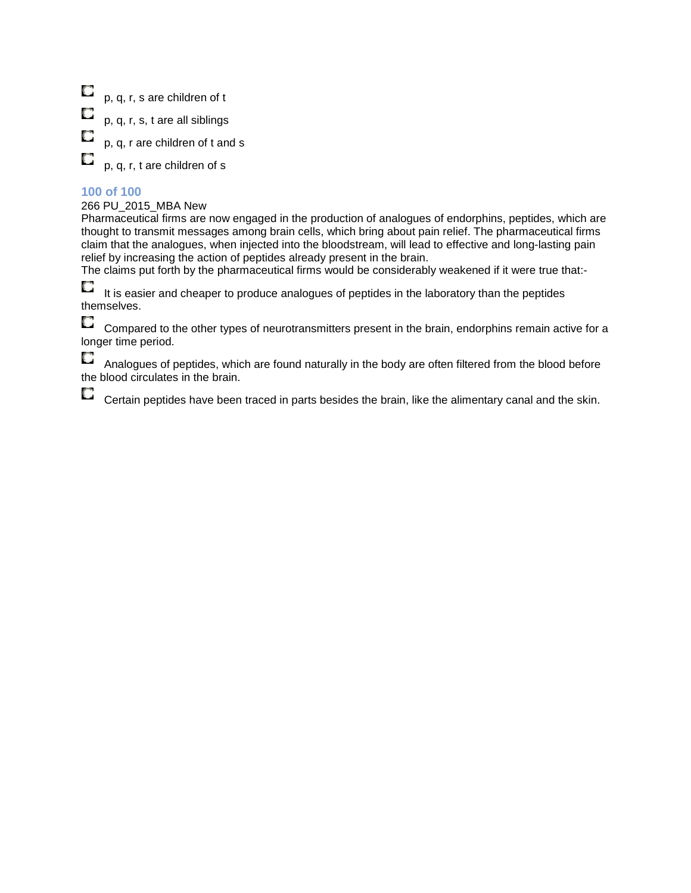$\Box$ p, q, r, s are children of t

p, q, r, s, t are all siblings

p, q, r are children of t and s

p, q, r, t are children of s

### **100 of 100**

O

О

#### 266 PU\_2015\_MBA New

Pharmaceutical firms are now engaged in the production of analogues of endorphins, peptides, which are thought to transmit messages among brain cells, which bring about pain relief. The pharmaceutical firms claim that the analogues, when injected into the bloodstream, will lead to effective and long-lasting pain relief by increasing the action of peptides already present in the brain.

The claims put forth by the pharmaceutical firms would be considerably weakened if it were true that:-

Q It is easier and cheaper to produce analogues of peptides in the laboratory than the peptides themselves.

O Compared to the other types of neurotransmitters present in the brain, endorphins remain active for a longer time period.

O Analogues of peptides, which are found naturally in the body are often filtered from the blood before the blood circulates in the brain.

Certain peptides have been traced in parts besides the brain, like the alimentary canal and the skin.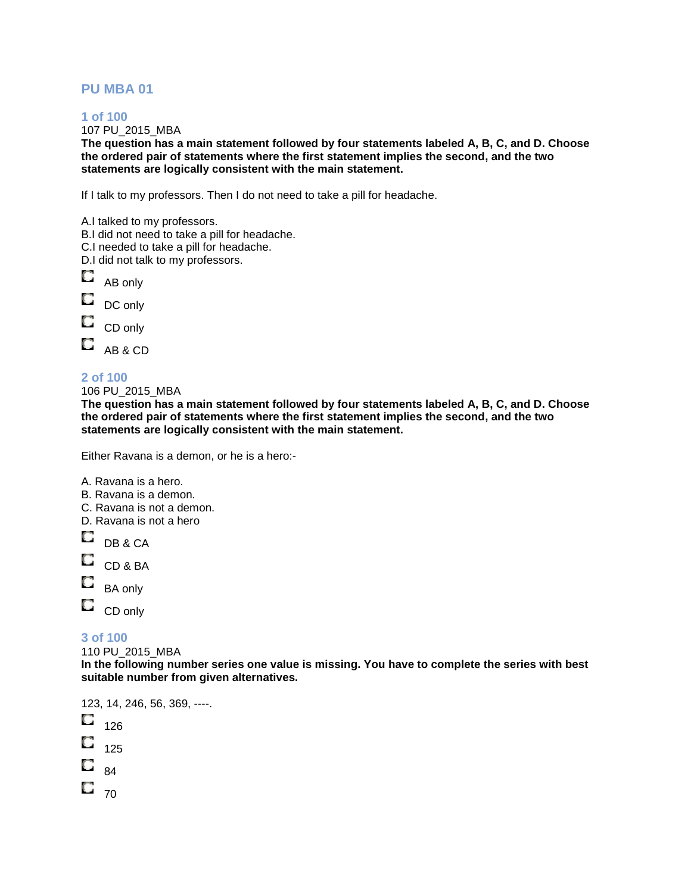### **PU MBA 01**

#### **1 of 100**

107 PU\_2015\_MBA

**The question has a main statement followed by four statements labeled A, B, C, and D. Choose the ordered pair of statements where the first statement implies the second, and the two statements are logically consistent with the main statement.**

If I talk to my professors. Then I do not need to take a pill for headache.

|        | A.I talked to my professors.<br>B.I did not need to take a pill for headache.<br>C.I needed to take a pill for headache.<br>D.I did not talk to my professors. |
|--------|----------------------------------------------------------------------------------------------------------------------------------------------------------------|
| $\Box$ | AB only                                                                                                                                                        |
| $\Box$ | DC only                                                                                                                                                        |
| O      | CD only                                                                                                                                                        |
| O      | AB & CD                                                                                                                                                        |
|        |                                                                                                                                                                |

### **2 of 100**

106 PU\_2015\_MBA

**The question has a main statement followed by four statements labeled A, B, C, and D. Choose the ordered pair of statements where the first statement implies the second, and the two statements are logically consistent with the main statement.**

Either Ravana is a demon, or he is a hero:-

A. Ravana is a hero.

- B. Ravana is a demon.
- C. Ravana is not a demon.

D. Ravana is not a hero

 $\Box$  DB & CA

 $\Box$  CD & BA

 $\Box$  BA only

 $\Box$ 

CD only

### **3 of 100**

110 PU\_2015\_MBA

**In the following number series one value is missing. You have to complete the series with best suitable number from given alternatives.** 

123, 14, 246, 56, 369, ----.

- $\Box$  126
- $\Box$  125
- O 84
- $\Box$ <sub>70</sub>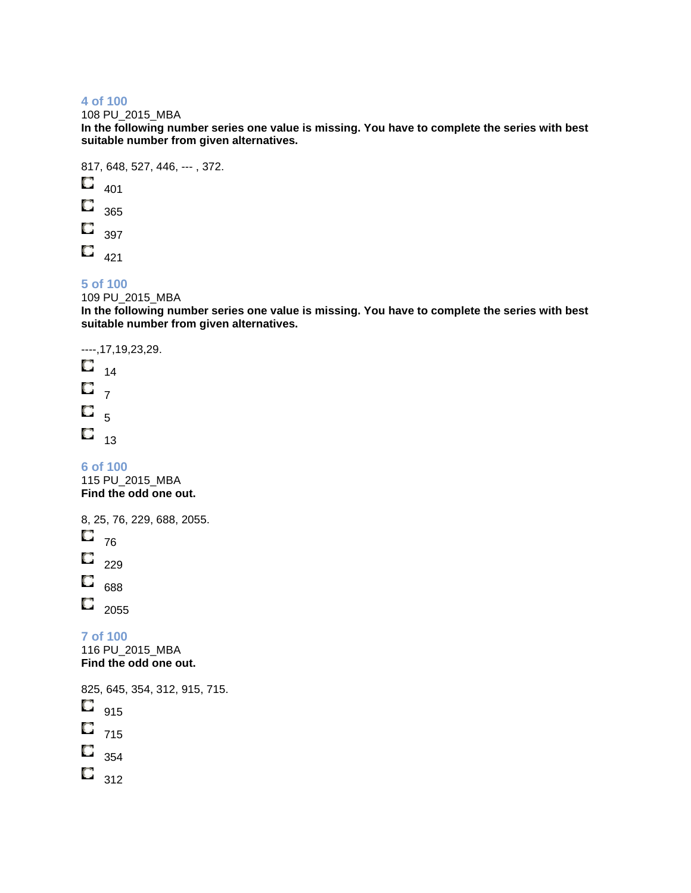108 PU\_2015\_MBA

**In the following number series one value is missing. You have to complete the series with best suitable number from given alternatives.** 

817, 648, 527, 446, --- , 372.

O 401

Q 365

 $\overline{\phantom{a}}_{397}$ 

 $\Box$  421

### **5 of 100**

109 PU\_2015\_MBA

**In the following number series one value is missing. You have to complete the series with best suitable number from given alternatives.** 

----,17,19,23,29.

 $\Box$   $_{14}$  $\mathbf{C}_{7}$  $\Box$ <sub>5</sub>  $\Box$ <sub>13</sub>

**6 of 100**  115 PU\_2015\_MBA **Find the odd one out.** 

8, 25, 76, 229, 688, 2055.  $\Box$  <sub>76</sub>

O 229

 $\overline{\phantom{0}}_{688}$ 

 $\Box$  2055

**7 of 100**  116 PU\_2015\_MBA **Find the odd one out.** 

825, 645, 354, 312, 915, 715.  $\Box$ 915  $\Box$  715  $\Box$  354

 $\overline{\mathbf{C}}$  312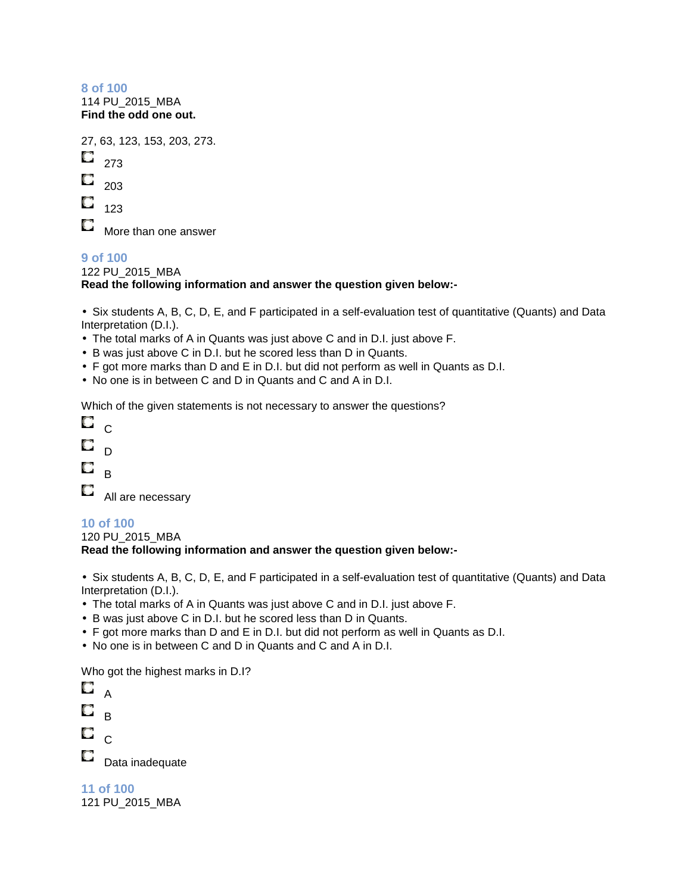114 PU\_2015\_MBA **Find the odd one out.** 

27, 63, 123, 153, 203, 273. O. 273 O 203 O 123

O

More than one answer

#### **9 of 100**  122 PU\_2015\_MBA **Read the following information and answer the question given below:-**

• Six students A, B, C, D, E, and F participated in a self-evaluation test of quantitative (Quants) and Data Interpretation (D.I.).

- The total marks of A in Quants was just above C and in D.I. just above F.
- B was just above C in D.I. but he scored less than D in Quants.
- F got more marks than D and E in D.I. but did not perform as well in Quants as D.I.
- No one is in between C and D in Quants and C and A in D.I.

Which of the given statements is not necessary to answer the questions?

| n, | ſ. |
|----|----|
| O  | r) |
| C) | ĸ  |

**All are necessary** 

### **10 of 100**

120 PU\_2015\_MBA **Read the following information and answer the question given below:-**

• Six students A, B, C, D, E, and F participated in a self-evaluation test of quantitative (Quants) and Data Interpretation (D.I.).

- The total marks of A in Quants was just above C and in D.I. just above F.
- B was just above C in D.I. but he scored less than D in Quants.
- F got more marks than D and E in D.I. but did not perform as well in Quants as D.I.
- No one is in between C and D in Quants and C and A in D.I.

Who got the highest marks in D.I?

|         | Δ               |
|---------|-----------------|
| U       | R               |
| u       | $\overline{C}$  |
| a de la | Data inadequate |
|         |                 |

| 11 of 100 |  |                 |  |
|-----------|--|-----------------|--|
|           |  | 121 PU 2015 MBA |  |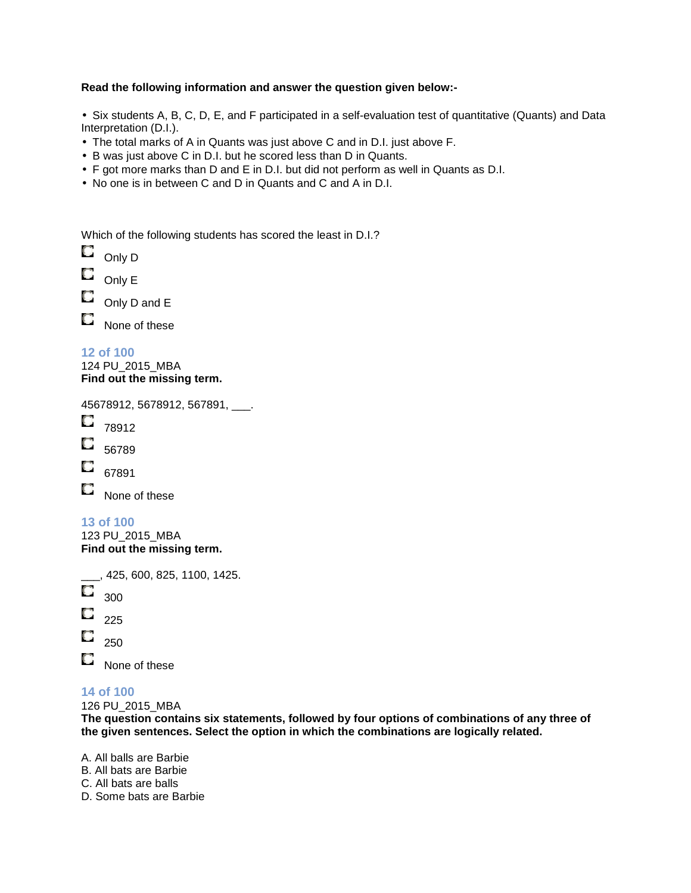### **Read the following information and answer the question given below:-**

• Six students A, B, C, D, E, and F participated in a self-evaluation test of quantitative (Quants) and Data Interpretation (D.I.).

- The total marks of A in Quants was just above C and in D.I. just above F.
- B was just above C in D.I. but he scored less than D in Quants.
- F got more marks than D and E in D.I. but did not perform as well in Quants as D.I.
- No one is in between C and D in Quants and C and A in D.I.

Which of the following students has scored the least in D.I.?

 $\Box$  Only D

O Only E

О Only D and E

O None of these

**12 of 100**  124 PU\_2015\_MBA **Find out the missing term.**

45678912, 5678912, 567891, \_\_\_.

- $\Box$  78912
- O 56789
- 67891

O None of these

### **13 of 100**

123 PU\_2015\_MBA **Find out the missing term.**

\_\_\_, 425, 600, 825, 1100, 1425.

- O 300
- O 225
- O 250

O

None of these

#### **14 of 100**

126 PU\_2015\_MBA

**The question contains six statements, followed by four options of combinations of any three of the given sentences. Select the option in which the combinations are logically related.** 

A. All balls are Barbie B. All bats are Barbie C. All bats are balls

D. Some bats are Barbie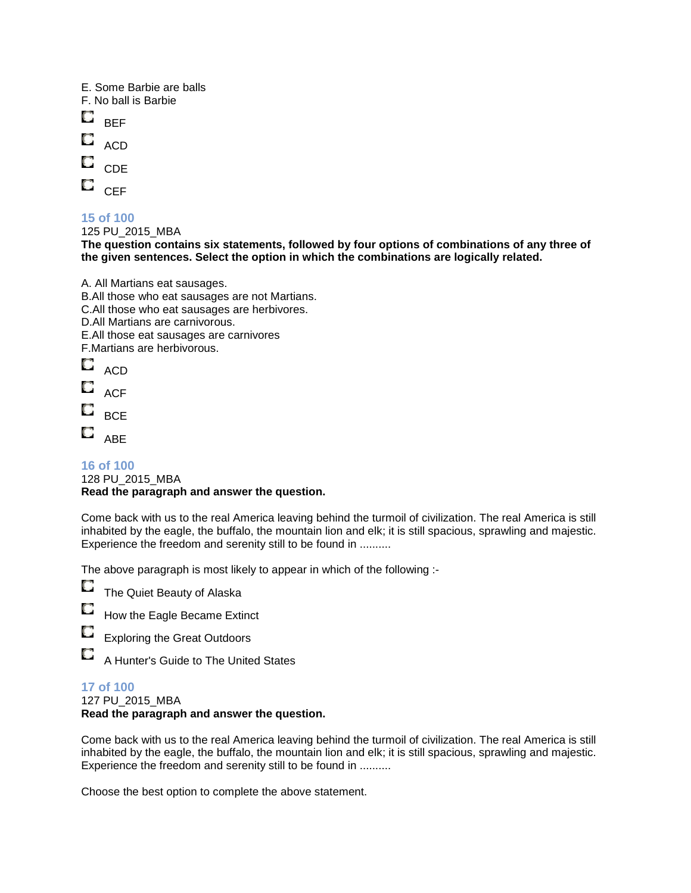E. Some Barbie are balls

- F. No ball is Barbie
- O BEF
- O ACD
- 
- $\Box$  CDE
- $\Box$  CEF

### **15 of 100**

125 PU\_2015\_MBA

**The question contains six statements, followed by four options of combinations of any three of the given sentences. Select the option in which the combinations are logically related.** 

- A. All Martians eat sausages. B.All those who eat sausages are not Martians. C.All those who eat sausages are herbivores. D.All Martians are carnivorous. E.All those eat sausages are carnivores F.Martians are herbivorous.  $\Box$  ACD
- $\square$  ACF
- O **BCE**
- O
- ABE

#### **16 of 100**  128 PU\_2015\_MBA **Read the paragraph and answer the question.**

Come back with us to the real America leaving behind the turmoil of civilization. The real America is still inhabited by the eagle, the buffalo, the mountain lion and elk; it is still spacious, sprawling and majestic. Experience the freedom and serenity still to be found in ..........

The above paragraph is most likely to appear in which of the following :-

O The Quiet Beauty of Alaska

- O How the Eagle Became Extinct
- O Exploring the Great Outdoors

A Hunter's Guide to The United States

### **17 of 100**

O

127 PU\_2015\_MBA

### **Read the paragraph and answer the question.**

Come back with us to the real America leaving behind the turmoil of civilization. The real America is still inhabited by the eagle, the buffalo, the mountain lion and elk; it is still spacious, sprawling and majestic. Experience the freedom and serenity still to be found in ..........

Choose the best option to complete the above statement.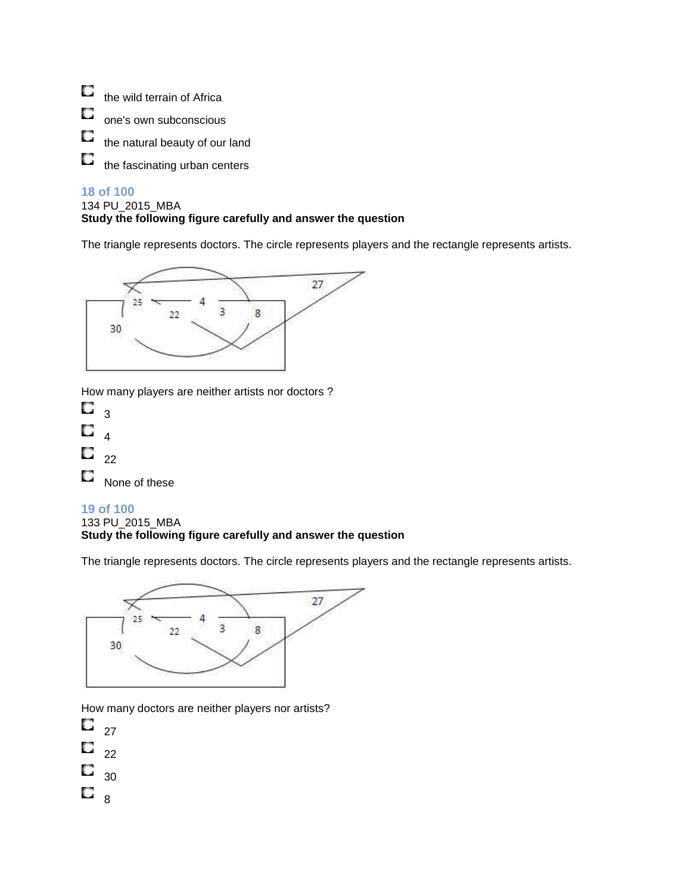$\Box$ the wild terrain of Africa

О one's own subconscious

O the natural beauty of our land

O the fascinating urban centers

### **18 of 100**

#### 134 PU\_2015\_MBA **Study the following figure carefully and answer the question**

The triangle represents doctors. The circle represents players and the rectangle represents artists.



How many players are neither artists nor doctors ?

| O | 3                       |
|---|-------------------------|
| O | 4                       |
| О | 22                      |
| O | <b>N</b> L <sub>n</sub> |

None of these

### **19 of 100**

133 PU\_2015\_MBA

### **Study the following figure carefully and answer the question**

The triangle represents doctors. The circle represents players and the rectangle represents artists.



How many doctors are neither players nor artists?

- O 27
- O  $22$
- O 30
- 
- $\Box$ 8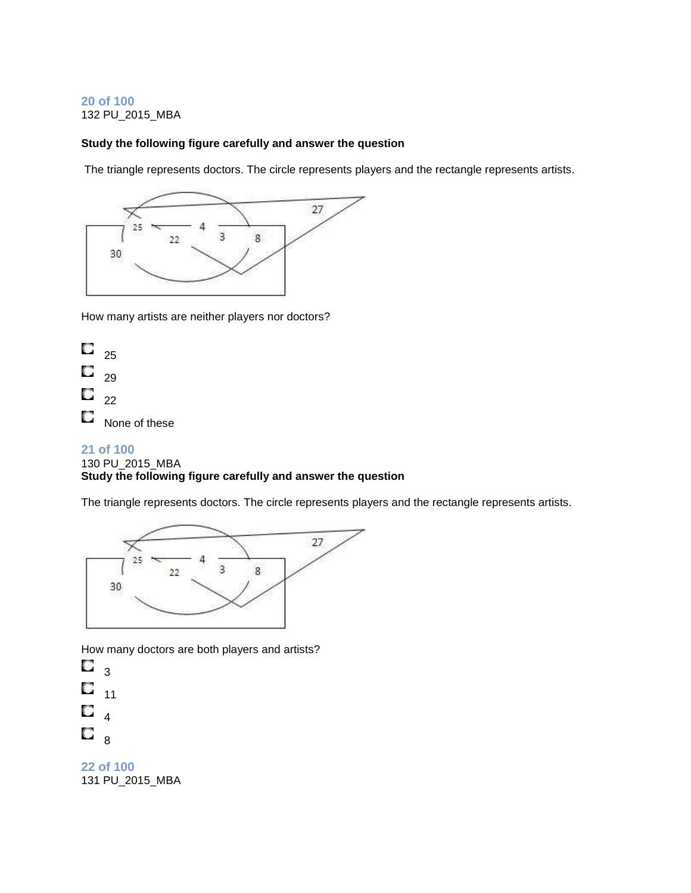#### **20 of 100**  132 PU\_2015\_MBA

### **Study the following figure carefully and answer the question**

The triangle represents doctors. The circle represents players and the rectangle represents artists.



How many artists are neither players nor doctors?



#### **21 of 100**

#### 130 PU\_2015\_MBA

### **Study the following figure carefully and answer the question**

The triangle represents doctors. The circle represents players and the rectangle represents artists.



How many doctors are both players and artists?

О 3 O 11 O 4 О 8

**22 of 100**  131 PU\_2015\_MBA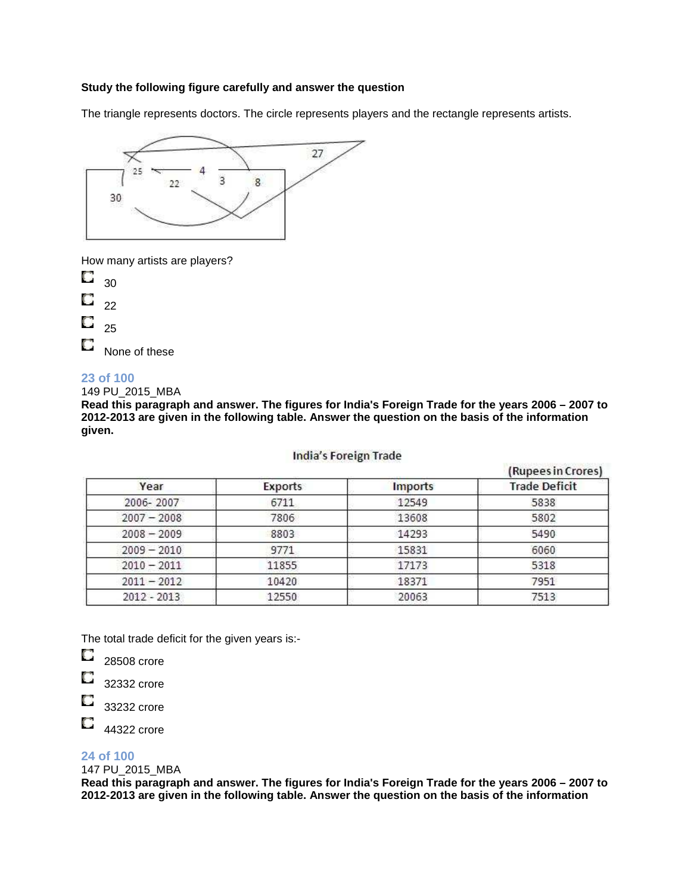#### **Study the following figure carefully and answer the question**

The triangle represents doctors. The circle represents players and the rectangle represents artists.



How many artists are players?

О 30

- О 22
- 
- O 25

О None of these

#### **23 of 100**

149 PU\_2015\_MBA

**Read this paragraph and answer. The figures for India's Foreign Trade for the years 2006 – 2007 to 2012-2013 are given in the following table. Answer the question on the basis of the information given.**

#### **India's Foreign Trade**

|               |                |                | (Rupees in Crores)   |
|---------------|----------------|----------------|----------------------|
| Year          | <b>Exports</b> | <b>Imports</b> | <b>Trade Deficit</b> |
| 2006-2007     | 6711           | 12549          | 5838                 |
| $2007 - 2008$ | 7806           | 13608          | 5802                 |
| $2008 - 2009$ | 8803           | 14293          | 5490                 |
| $2009 - 2010$ | 9771           | 15831          | 6060                 |
| $2010 - 2011$ | 11855          | 17173          | 5318                 |
| $2011 - 2012$ | 10420          | 18371          | 7951                 |
| 2012 - 2013   | 12550          | 20063          | 7513                 |

The total trade deficit for the given years is:-

O 28508 crore

- O 32332 crore
- O 33232 crore
- O 44322 crore

### **24 of 100**

147 PU\_2015\_MBA

**Read this paragraph and answer. The figures for India's Foreign Trade for the years 2006 – 2007 to 2012-2013 are given in the following table. Answer the question on the basis of the information**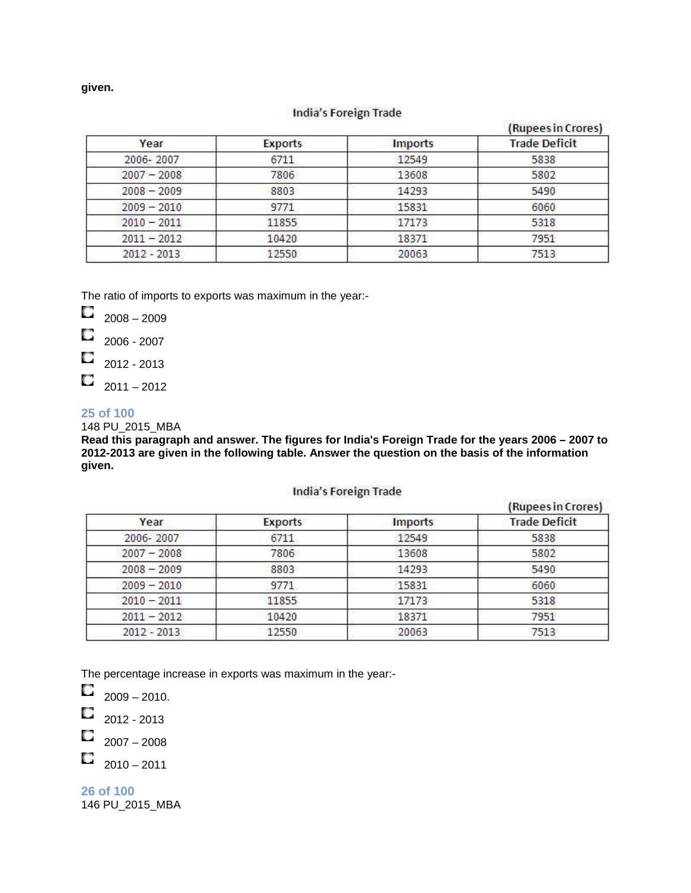**given.**

#### **India's Foreign Trade**

|               |                |         | (Rupees in Crores)   |
|---------------|----------------|---------|----------------------|
| Year          | <b>Exports</b> | Imports | <b>Trade Deficit</b> |
| 2006-2007     | 6711           | 12549   | 5838                 |
| $2007 - 2008$ | 7806           | 13608   | 5802                 |
| $2008 - 2009$ | 8803           | 14293   | 5490                 |
| $2009 - 2010$ | 9771           | 15831   | 6060                 |
| $2010 - 2011$ | 11855          | 17173   | 5318                 |
| $2011 - 2012$ | 10420          | 18371   | 7951                 |
| 2012 - 2013   | 12550          | 20063   | 7513                 |

The ratio of imports to exports was maximum in the year:-

- O 2008 – 2009
- O 2006 - 2007
- 2012 2013 О
- О  $2011 - 2012$

#### **25 of 100**

148 PU\_2015\_MBA

**Read this paragraph and answer. The figures for India's Foreign Trade for the years 2006 – 2007 to 2012-2013 are given in the following table. Answer the question on the basis of the information given.**

#### **India's Foreign Trade**

|               |         | and the contract of the contract of the contract of the contract of the contract of the contract of the contract of | (Rupees in Crores)   |
|---------------|---------|---------------------------------------------------------------------------------------------------------------------|----------------------|
| Year          | Exports | <b>Imports</b>                                                                                                      | <b>Trade Deficit</b> |
| 2006-2007     | 6711    | 12549                                                                                                               | 5838                 |
| $2007 - 2008$ | 7806    | 13608                                                                                                               | 5802                 |
| $2008 - 2009$ | 8803    | 14293                                                                                                               | 5490                 |
| $2009 - 2010$ | 9771    | 15831                                                                                                               | 6060                 |
| $2010 - 2011$ | 11855   | 17173                                                                                                               | 5318                 |
| $2011 - 2012$ | 10420   | 18371                                                                                                               | 7951                 |
| 2012 - 2013   | 12550   | 20063                                                                                                               | 7513                 |

The percentage increase in exports was maximum in the year:-

 $\Box$  2009 – 2010.

 $\Box$  2012 - 2013

O 2007 – 2008

O  $2010 - 2011$ 

**26 of 100**  146 PU\_2015\_MBA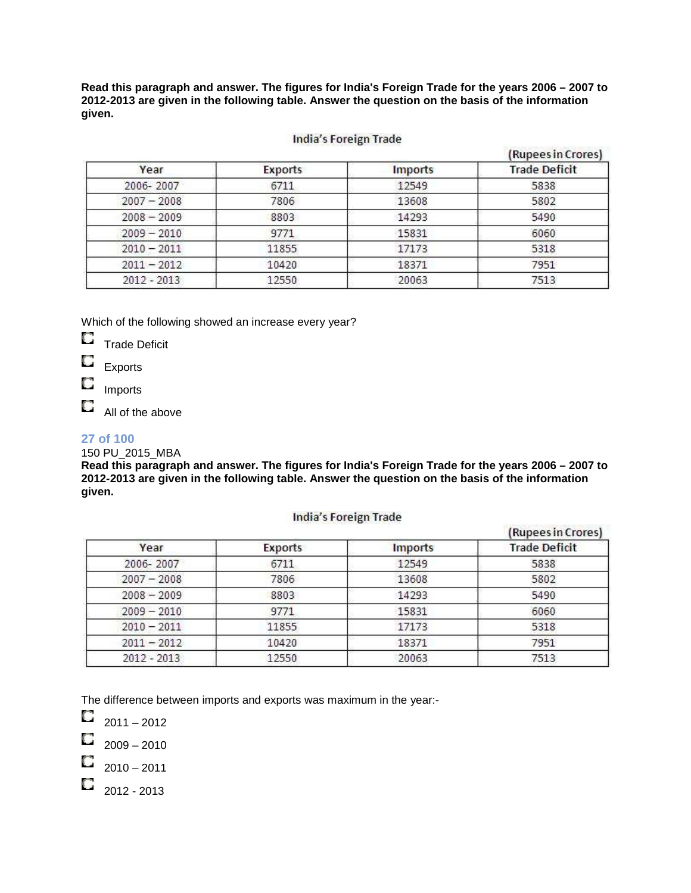**Read this paragraph and answer. The figures for India's Foreign Trade for the years 2006 – 2007 to 2012-2013 are given in the following table. Answer the question on the basis of the information given.**

#### **India's Foreign Trade**

|               |                |                | (Rupees in Crores)   |
|---------------|----------------|----------------|----------------------|
| Year          | <b>Exports</b> | <b>Imports</b> | <b>Trade Deficit</b> |
| 2006-2007     | 6711           | 12549          | 5838                 |
| $2007 - 2008$ | 7806           | 13608          | 5802                 |
| $2008 - 2009$ | 8803           | 14293          | 5490                 |
| $2009 - 2010$ | 9771           | 15831          | 6060                 |
| $2010 - 2011$ | 11855          | 17173          | 5318                 |
| $2011 - 2012$ | 10420          | 18371          | 7951                 |
| 2012 - 2013   | 12550          | 20063          | 7513                 |

Which of the following showed an increase every year?

 $\Box$ Trade Deficit

O Exports

О Imports

O All of the above

### **27 of 100**

### 150 PU\_2015\_MBA

**Read this paragraph and answer. The figures for India's Foreign Trade for the years 2006 – 2007 to 2012-2013 are given in the following table. Answer the question on the basis of the information given.**

#### **India's Foreign Trade**

|               |         |                | (Rupees in Crores)   |
|---------------|---------|----------------|----------------------|
| Year          | Exports | <b>Imports</b> | <b>Trade Deficit</b> |
| 2006-2007     | 6711    | 12549          | 5838                 |
| $2007 - 2008$ | 7806    | 13608          | 5802                 |
| $2008 - 2009$ | 8803    | 14293          | 5490                 |
| $2009 - 2010$ | 9771    | 15831          | 6060                 |
| $2010 - 2011$ | 11855   | 17173          | 5318                 |
| $2011 - 2012$ | 10420   | 18371          | 7951                 |
| 2012 - 2013   | 12550   | 20063          | 7513                 |

The difference between imports and exports was maximum in the year:-

 $\Box$  2011 – 2012

 $\Box$  2009 – 2010

O  $2010 - 2011$ 

O 2012 - 2013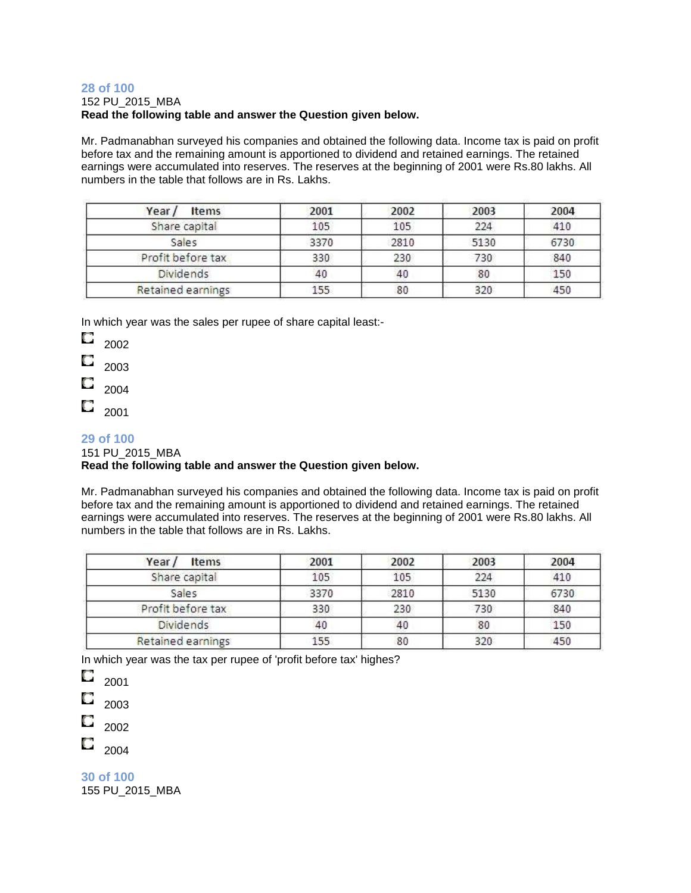#### **28 of 100**  152 PU\_2015\_MBA **Read the following table and answer the Question given below.**

Mr. Padmanabhan surveyed his companies and obtained the following data. Income tax is paid on profit before tax and the remaining amount is apportioned to dividend and retained earnings. The retained earnings were accumulated into reserves. The reserves at the beginning of 2001 were Rs.80 lakhs. All numbers in the table that follows are in Rs. Lakhs.

| Year/<br>Items    | 2001 | 2002 | 2003 | 2004 |
|-------------------|------|------|------|------|
| Share capital     | 105  | 105  | 224  | 410  |
| Sales             | 3370 | 2810 | 5130 | 6730 |
| Profit before tax | 330  | 230  | 730  | 840  |
| <b>Dividends</b>  | 40   | 40   | 80   | 150  |
| Retained earnings | 155  | 80   | 320  | 450  |

In which year was the sales per rupee of share capital least:-

O 2002

2003

2004

О 2001

### **29 of 100**

#### 151 PU\_2015\_MBA

### **Read the following table and answer the Question given below.**

Mr. Padmanabhan surveyed his companies and obtained the following data. Income tax is paid on profit before tax and the remaining amount is apportioned to dividend and retained earnings. The retained earnings were accumulated into reserves. The reserves at the beginning of 2001 were Rs.80 lakhs. All numbers in the table that follows are in Rs. Lakhs.

| Year /<br>Items   | 2001 | 2002 | 2003 | 2004 |
|-------------------|------|------|------|------|
| Share capital     | 105  | 105  | 224  | 410  |
| Sales             | 3370 | 2810 | 5130 | 6730 |
| Profit before tax | 330  | 230  | 730  | 840  |
| <b>Dividends</b>  | 40   | 40   | 80   | 150  |
| Retained earnings | 155  | 80   | 320  | 450  |

In which year was the tax per rupee of 'profit before tax' highes?

О 2001

O 2003

O 2002

 $\Box$  2004

**30 of 100**  155 PU\_2015\_MBA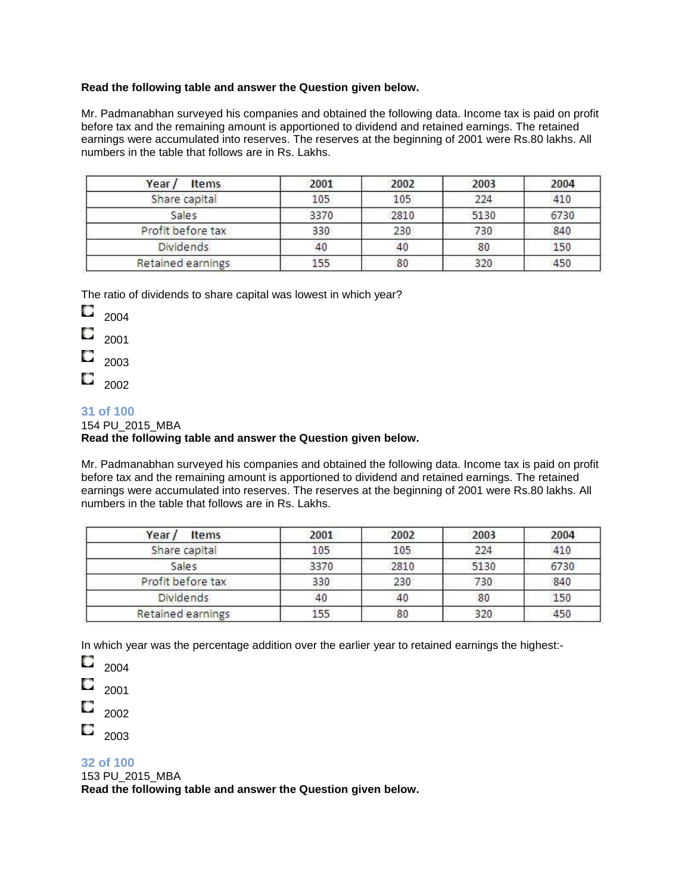#### **Read the following table and answer the Question given below.**

Mr. Padmanabhan surveyed his companies and obtained the following data. Income tax is paid on profit before tax and the remaining amount is apportioned to dividend and retained earnings. The retained earnings were accumulated into reserves. The reserves at the beginning of 2001 were Rs.80 lakhs. All numbers in the table that follows are in Rs. Lakhs.

| Year/<br>Items    | 2001 | 2002 | 2003 | 2004 |
|-------------------|------|------|------|------|
| Share capital     | 105  | 105  | 224  | 410  |
| Sales             | 3370 | 2810 | 5130 | 6730 |
| Profit before tax | 330  | 230  | 730  | 840  |
| <b>Dividends</b>  | 40   | 40   | 80   | 150  |
| Retained earnings | 155  | 80   | 320  | 450  |

The ratio of dividends to share capital was lowest in which year?

O 2004

- О 2001
- О 2003
- O 2002

### **31 of 100**

154 PU\_2015\_MBA

### **Read the following table and answer the Question given below.**

Mr. Padmanabhan surveyed his companies and obtained the following data. Income tax is paid on profit before tax and the remaining amount is apportioned to dividend and retained earnings. The retained earnings were accumulated into reserves. The reserves at the beginning of 2001 were Rs.80 lakhs. All numbers in the table that follows are in Rs. Lakhs.

| Year/<br>Items    | 2001 | 2002 | 2003 | 2004 |
|-------------------|------|------|------|------|
| Share capital     | 105  | 105  | 224  | 410  |
| Sales             | 3370 | 2810 | 5130 | 6730 |
| Profit before tax | 330  | 230  | 730  | 840  |
| <b>Dividends</b>  | 40   | 40   | 80   | 150  |
| Retained earnings | 155  | 80   | 320  | 450  |

In which year was the percentage addition over the earlier year to retained earnings the highest:-

O 2004

О 2001

2002

O 2003

**32 of 100** 

153 PU\_2015\_MBA

**Read the following table and answer the Question given below.**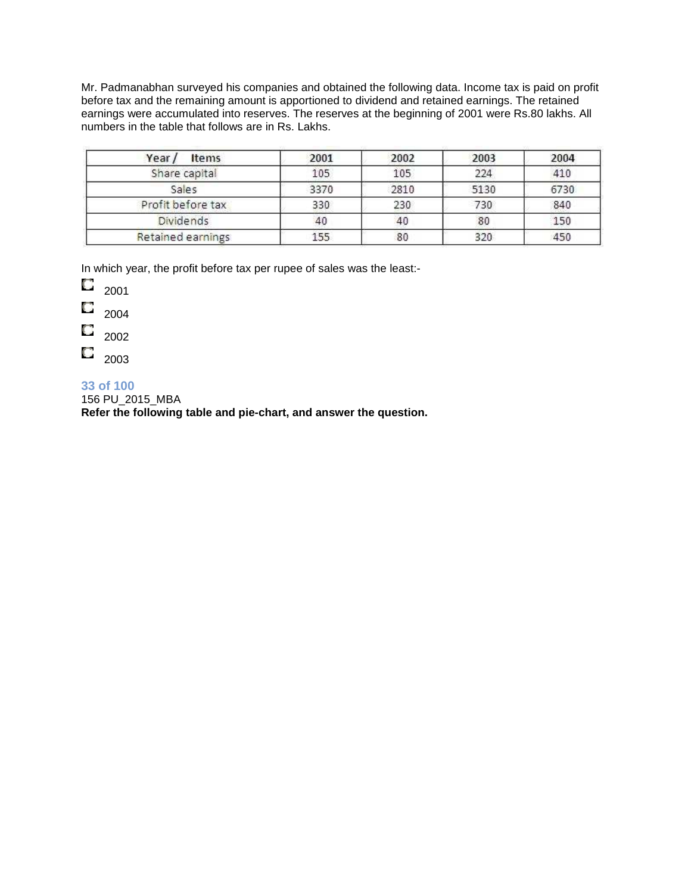Mr. Padmanabhan surveyed his companies and obtained the following data. Income tax is paid on profit before tax and the remaining amount is apportioned to dividend and retained earnings. The retained earnings were accumulated into reserves. The reserves at the beginning of 2001 were Rs.80 lakhs. All numbers in the table that follows are in Rs. Lakhs.

| Year/<br>Items    | 2001 | 2002 | 2003 | 2004 |
|-------------------|------|------|------|------|
| Share capital     | 105  | 105  | 224  | 410  |
| Sales             | 3370 | 2810 | 5130 | 6730 |
| Profit before tax | 330  | 230  | 730  | 840  |
| <b>Dividends</b>  | 40   | 40   | 80   | 150  |
| Retained earnings | 155  | 80   | 320  | 450  |

In which year, the profit before tax per rupee of sales was the least:-

| 2001 |
|------|

- O 2004
- О 2002
- O 2003

### **33 of 100**

156 PU\_2015\_MBA

**Refer the following table and pie-chart, and answer the question.**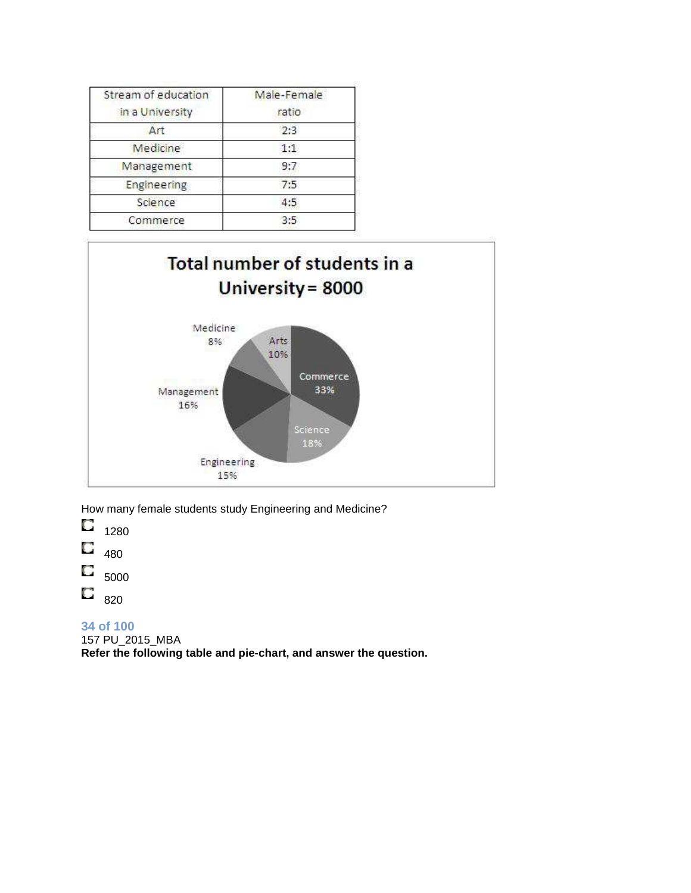| Stream of education | Male-Female |
|---------------------|-------------|
| in a University     | ratio       |
| Art                 | 2:3         |
| Medicine            | 1:1         |
| Management          | 9:7         |
| Engineering         | 7:5         |
| Science             | 4:5         |
| Commerce            | 3:5         |



How many female students study Engineering and Medicine?

O 1280

О 480

О 5000

O 820

**34 of 100** 

157 PU\_2015\_MBA

**Refer the following table and pie-chart, and answer the question.**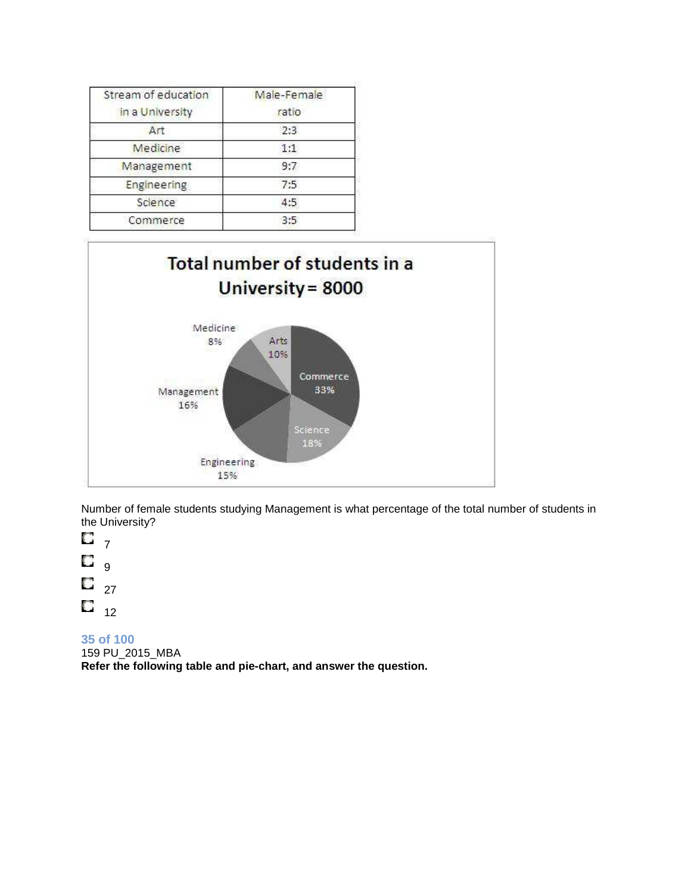| Stream of education | Male-Female |
|---------------------|-------------|
| in a University     | ratio       |
| Art                 | 2:3         |
| Medicine            | 1:1         |
| Management          | 9:7         |
| Engineering         | 7:5         |
| Science             | 4:5         |
| Commerce            | 3:5         |



Number of female students studying Management is what percentage of the total number of students in the University?

O 7 О 9 O 27  $\overline{C}_{12}$ 

### **35 of 100**

159 PU\_2015\_MBA **Refer the following table and pie-chart, and answer the question.**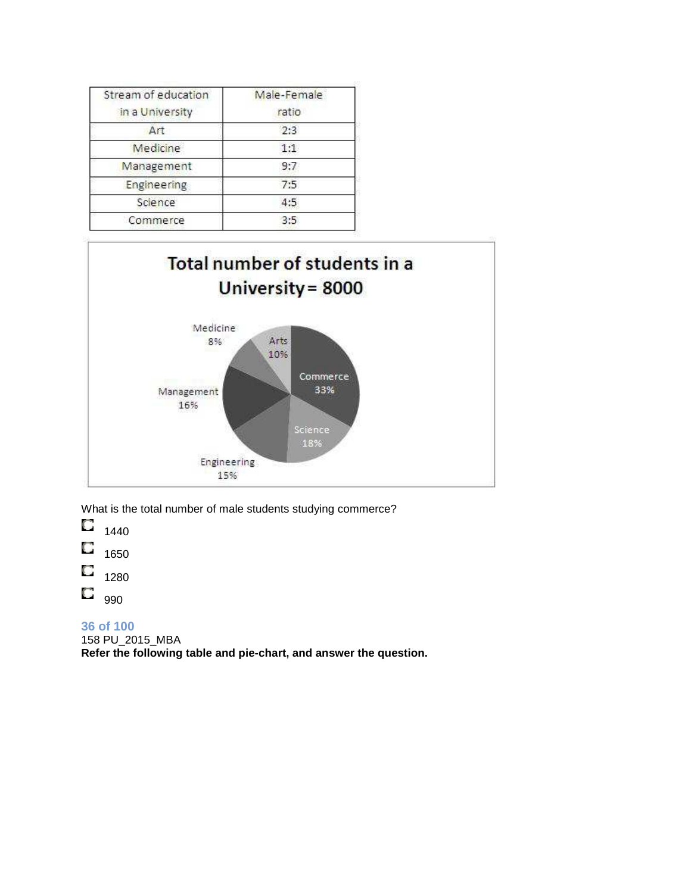| Stream of education | Male-Female |
|---------------------|-------------|
| in a University     | ratio       |
| Art                 | 2:3         |
| Medicine            | 1:1         |
| Management          | 9:7         |
| Engineering         | 7:5         |
| Science             | 4:5         |
| Commerce            | 3:5         |



What is the total number of male students studying commerce?

O 1440 O 1650 О 1280

O

990

**36 of 100**  158 PU\_2015\_MBA **Refer the following table and pie-chart, and answer the question.**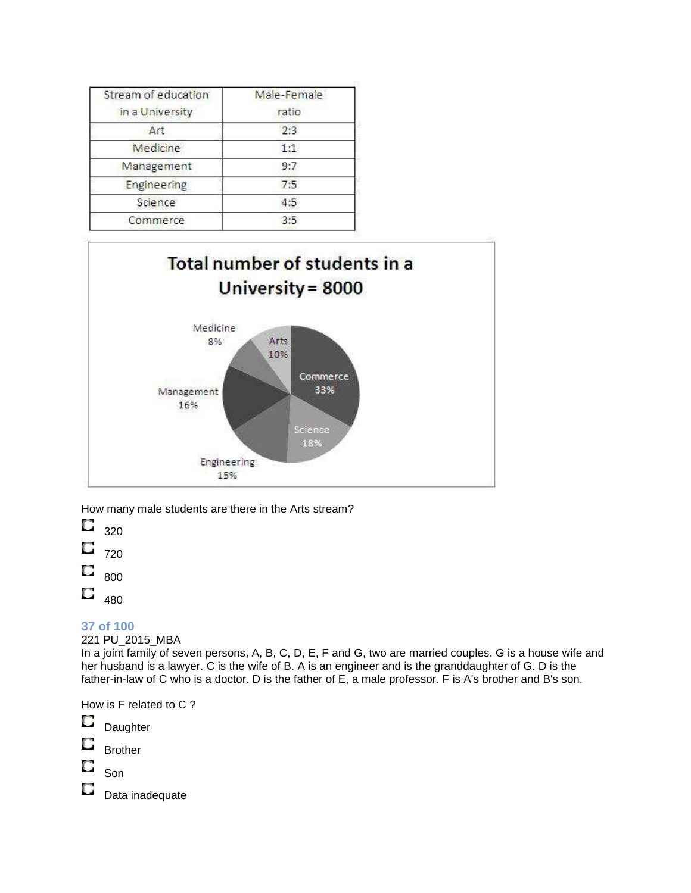| Stream of education | Male-Female |
|---------------------|-------------|
| in a University     | ratio       |
| Art                 | 2:3         |
| Medicine            | 1:1         |
| Management          | 9:7         |
| Engineering         | 7:5         |
| Science             | 4:5         |
| Commerce            | 3:5         |



How many male students are there in the Arts stream?

O 320 O 720 O 800

О 480

### **37 of 100**

221 PU\_2015\_MBA

In a joint family of seven persons, A, B, C, D, E, F and G, two are married couples. G is a house wife and her husband is a lawyer. C is the wife of B. A is an engineer and is the granddaughter of G. D is the father-in-law of C who is a doctor. D is the father of E, a male professor. F is A's brother and B's son.

How is F related to C ?

- O **Daughter**
- O Brother

O Son

О

Data inadequate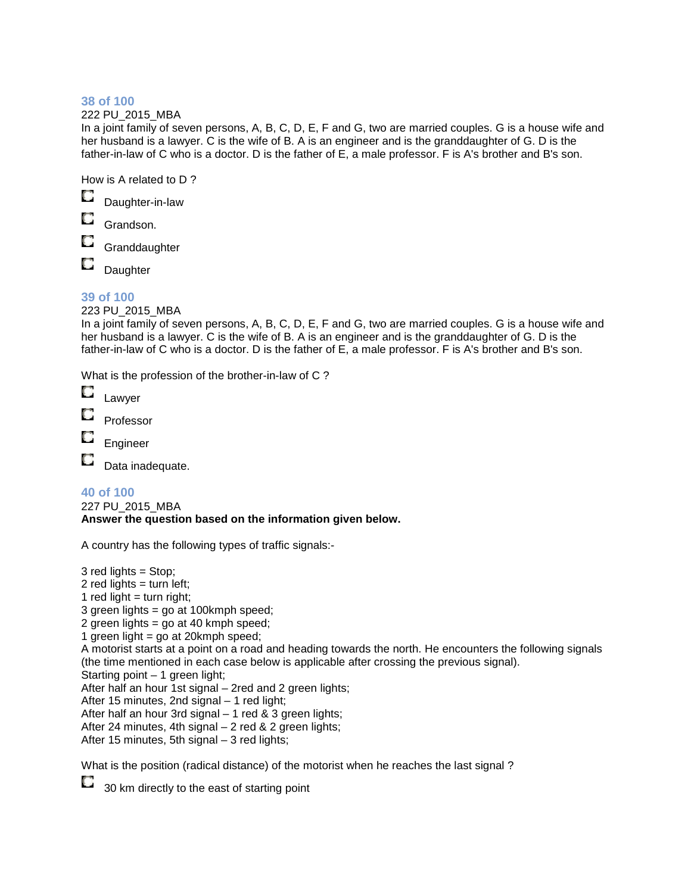222 PU\_2015\_MBA

In a joint family of seven persons, A, B, C, D, E, F and G, two are married couples. G is a house wife and her husband is a lawyer. C is the wife of B. A is an engineer and is the granddaughter of G. D is the father-in-law of C who is a doctor. D is the father of E, a male professor. F is A's brother and B's son.

How is A related to D ?

О Daughter-in-law

Grandson.

**Granddaughter** 

O **Daughter** 

### **39 of 100**

223 PU\_2015\_MBA

In a joint family of seven persons, A, B, C, D, E, F and G, two are married couples. G is a house wife and her husband is a lawyer. C is the wife of B. A is an engineer and is the granddaughter of G. D is the father-in-law of C who is a doctor. D is the father of E, a male professor. F is A's brother and B's son.

What is the profession of the brother-in-law of C ?

| Lawver |
|--------|
|        |

Professor

Engineer

O Data inadequate.

### **40 of 100**

227 PU\_2015\_MBA **Answer the question based on the information given below.**

A country has the following types of traffic signals:-

3 red lights = Stop; 2 red lights  $=$  turn left; 1 red light  $=$  turn right; 3 green lights = go at 100kmph speed; 2 green lights = go at 40 kmph speed; 1 green light = go at 20 $k$ mph speed; A motorist starts at a point on a road and heading towards the north. He encounters the following signals (the time mentioned in each case below is applicable after crossing the previous signal). Starting point – 1 green light; After half an hour 1st signal – 2red and 2 green lights; After 15 minutes, 2nd signal – 1 red light; After half an hour 3rd signal  $-1$  red & 3 green lights; After 24 minutes, 4th signal – 2 red & 2 green lights; After 15 minutes, 5th signal – 3 red lights; What is the position (radical distance) of the motorist when he reaches the last signal ?

O 30 km directly to the east of starting point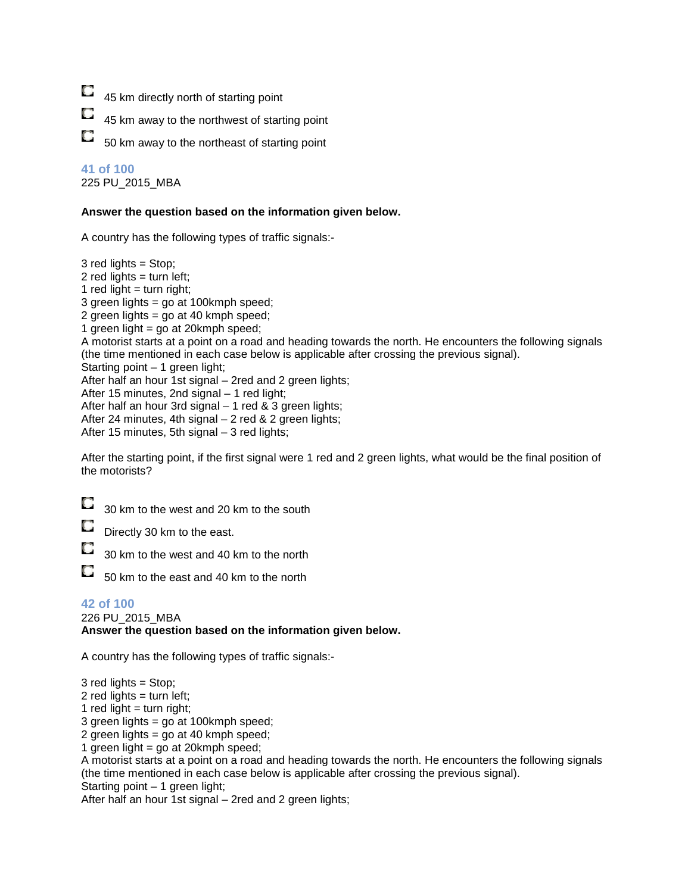| u |  |  |  | 45 km directly north of starting point |  |
|---|--|--|--|----------------------------------------|--|
|---|--|--|--|----------------------------------------|--|

| <b>Service</b> |  |  |  | 45 km away to the northwest of starting point |  |  |  |
|----------------|--|--|--|-----------------------------------------------|--|--|--|
|----------------|--|--|--|-----------------------------------------------|--|--|--|

О 50 km away to the northeast of starting point

### **41 of 100**

225 PU\_2015\_MBA

#### **Answer the question based on the information given below.**

A country has the following types of traffic signals:-

3 red lights = Stop; 2 red lights  $=$  turn left; 1 red light  $=$  turn right; 3 green lights = go at 100kmph speed; 2 green lights = go at 40 kmph speed; 1 green light =  $\alpha$  at 20 kmph speed; A motorist starts at a point on a road and heading towards the north. He encounters the following signals (the time mentioned in each case below is applicable after crossing the previous signal). Starting point – 1 green light; After half an hour 1st signal – 2red and 2 green lights; After 15 minutes, 2nd signal – 1 red light; After half an hour 3rd signal  $-1$  red & 3 green lights; After 24 minutes, 4th signal – 2 red & 2 green lights; After 15 minutes, 5th signal – 3 red lights;

After the starting point, if the first signal were 1 red and 2 green lights, what would be the final position of the motorists?

|  | $\Box$ 30 km to the west and 20 km to the south |
|--|-------------------------------------------------|
|--|-------------------------------------------------|

Directly 30 km to the east.

30 km to the west and 40 km to the north

O 50 km to the east and 40 km to the north

#### **42 of 100**

226 PU\_2015\_MBA **Answer the question based on the information given below.**

A country has the following types of traffic signals:-

3 red lights = Stop; 2 red lights  $=$  turn left; 1 red light  $=$  turn right; 3 green lights = go at 100kmph speed; 2 green lights = go at 40 kmph speed; 1 green light = go at 20 $kmph$  speed; A motorist starts at a point on a road and heading towards the north. He encounters the following signals (the time mentioned in each case below is applicable after crossing the previous signal). Starting point – 1 green light;

After half an hour 1st signal – 2red and 2 green lights;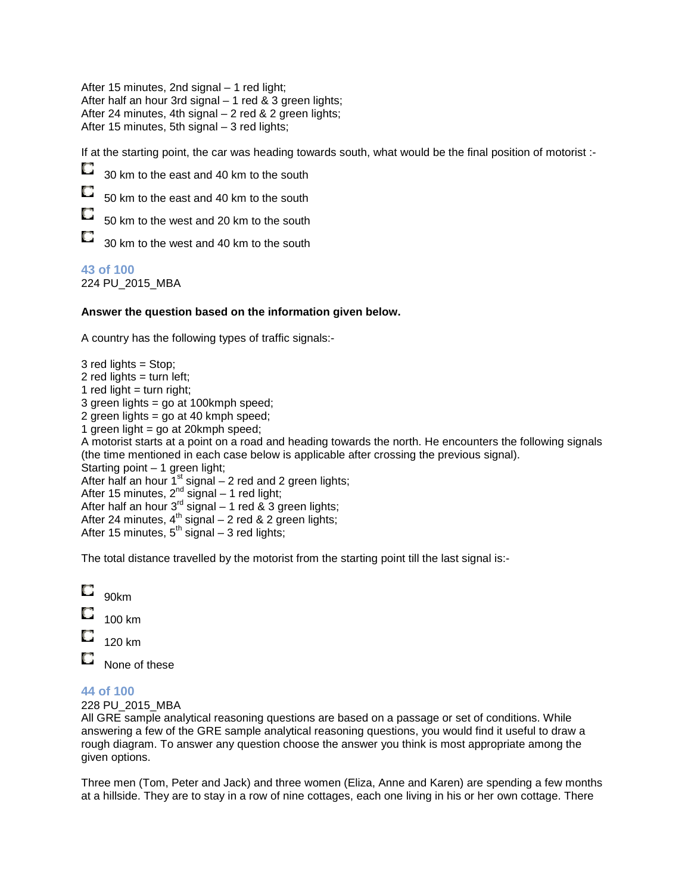After 15 minutes, 2nd signal – 1 red light; After half an hour 3rd signal – 1 red & 3 green lights; After 24 minutes, 4th signal – 2 red & 2 green lights; After 15 minutes, 5th signal – 3 red lights;

If at the starting point, the car was heading towards south, what would be the final position of motorist :-

О 30 km to the east and 40 km to the south

O 50 km to the east and 40 km to the south

О 50 km to the west and 20 km to the south

O 30 km to the west and 40 km to the south

### **43 of 100**

224 PU\_2015\_MBA

#### **Answer the question based on the information given below.**

A country has the following types of traffic signals:-

3 red lights = Stop; 2 red lights  $=$  turn left; 1 red light  $=$  turn right; 3 green lights = go at 100kmph speed; 2 green lights = go at 40 kmph speed; 1 green light = go at 20 $k$ mph speed; A motorist starts at a point on a road and heading towards the north. He encounters the following signals (the time mentioned in each case below is applicable after crossing the previous signal). Starting point – 1 green light; After half an hour  $1<sup>st</sup>$  signal – 2 red and 2 green lights; After 15 minutes,  $2^{nd}$  signal – 1 red light; After half an hour  $3^{rd}$  signal – 1 red & 3 green lights; After 24 minutes,  $4^{\text{th}}$  signal – 2 red & 2 green lights; After 15 minutes,  $5^{th}$  signal – 3 red lights;

The total distance travelled by the motorist from the starting point till the last signal is:-

 $\Box$ 90km O 100 km 120 km O None of these

#### **44 of 100**

228 PU\_2015\_MBA

All GRE sample analytical reasoning questions are based on a passage or set of conditions. While answering a few of the GRE sample analytical reasoning questions, you would find it useful to draw a rough diagram. To answer any question choose the answer you think is most appropriate among the given options.

Three men (Tom, Peter and Jack) and three women (Eliza, Anne and Karen) are spending a few months at a hillside. They are to stay in a row of nine cottages, each one living in his or her own cottage. There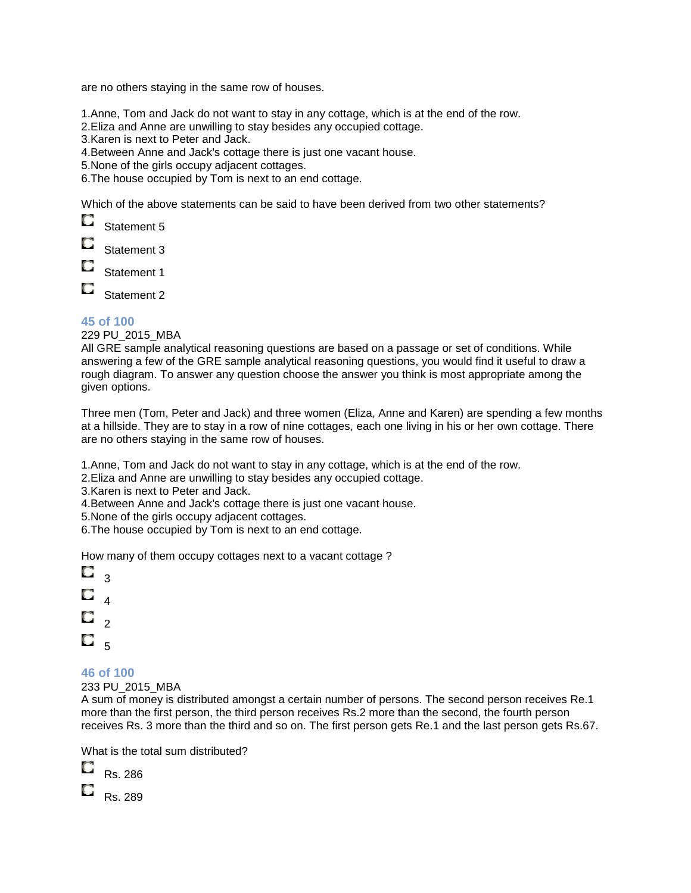are no others staying in the same row of houses.

1.Anne, Tom and Jack do not want to stay in any cottage, which is at the end of the row.

2.Eliza and Anne are unwilling to stay besides any occupied cottage.

3.Karen is next to Peter and Jack.

4.Between Anne and Jack's cottage there is just one vacant house.

5.None of the girls occupy adjacent cottages.

6.The house occupied by Tom is next to an end cottage.

Which of the above statements can be said to have been derived from two other statements?

O Statement 5

Statement 3

Statement 1

O Statement 2

#### **45 of 100**

229 PU\_2015\_MBA

All GRE sample analytical reasoning questions are based on a passage or set of conditions. While answering a few of the GRE sample analytical reasoning questions, you would find it useful to draw a rough diagram. To answer any question choose the answer you think is most appropriate among the given options.

Three men (Tom, Peter and Jack) and three women (Eliza, Anne and Karen) are spending a few months at a hillside. They are to stay in a row of nine cottages, each one living in his or her own cottage. There are no others staying in the same row of houses.

1.Anne, Tom and Jack do not want to stay in any cottage, which is at the end of the row.

2.Eliza and Anne are unwilling to stay besides any occupied cottage.

3.Karen is next to Peter and Jack.

4.Between Anne and Jack's cottage there is just one vacant house.

5.None of the girls occupy adjacent cottages.

6.The house occupied by Tom is next to an end cottage.

How many of them occupy cottages next to a vacant cottage ?

O  $\overline{3}$ О 4 O.  $\mathfrak{p}$  $\Box$   $_{5}$ 

#### **46 of 100**

233 PU\_2015\_MBA

A sum of money is distributed amongst a certain number of persons. The second person receives Re.1 more than the first person, the third person receives Rs.2 more than the second, the fourth person receives Rs. 3 more than the third and so on. The first person gets Re.1 and the last person gets Rs.67.

What is the total sum distributed?

| Rs. 286 |  |
|---------|--|
| Rs. 289 |  |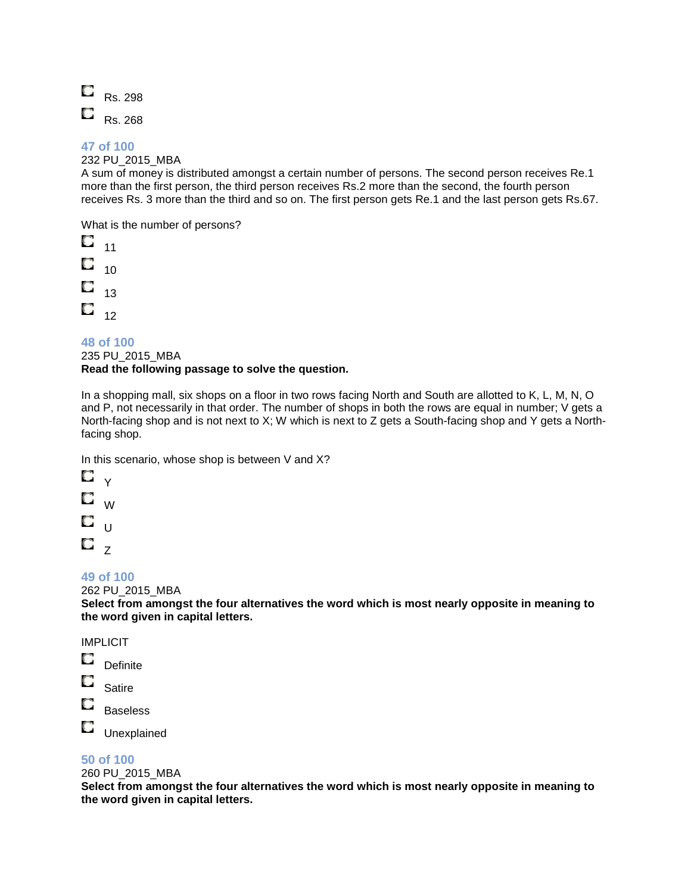

232 PU\_2015\_MBA

A sum of money is distributed amongst a certain number of persons. The second person receives Re.1 more than the first person, the third person receives Rs.2 more than the second, the fourth person receives Rs. 3 more than the third and so on. The first person gets Re.1 and the last person gets Rs.67.

What is the number of persons?

O 11 О  $10$ O 13 O 12

**48 of 100**  235 PU\_2015\_MBA **Read the following passage to solve the question.**

In a shopping mall, six shops on a floor in two rows facing North and South are allotted to K, L, M, N, O and P, not necessarily in that order. The number of shops in both the rows are equal in number; V gets a North-facing shop and is not next to X; W which is next to Z gets a South-facing shop and Y gets a Northfacing shop.

In this scenario, whose shop is between V and X?



### **49 of 100**

262 PU\_2015\_MBA

**Select from amongst the four alternatives the word which is most nearly opposite in meaning to the word given in capital letters.**

### IMPLICIT

- O **Definite**
- O Satire
- O Baseless

O Unexplained

### **50 of 100**

260 PU\_2015\_MBA

**Select from amongst the four alternatives the word which is most nearly opposite in meaning to the word given in capital letters.**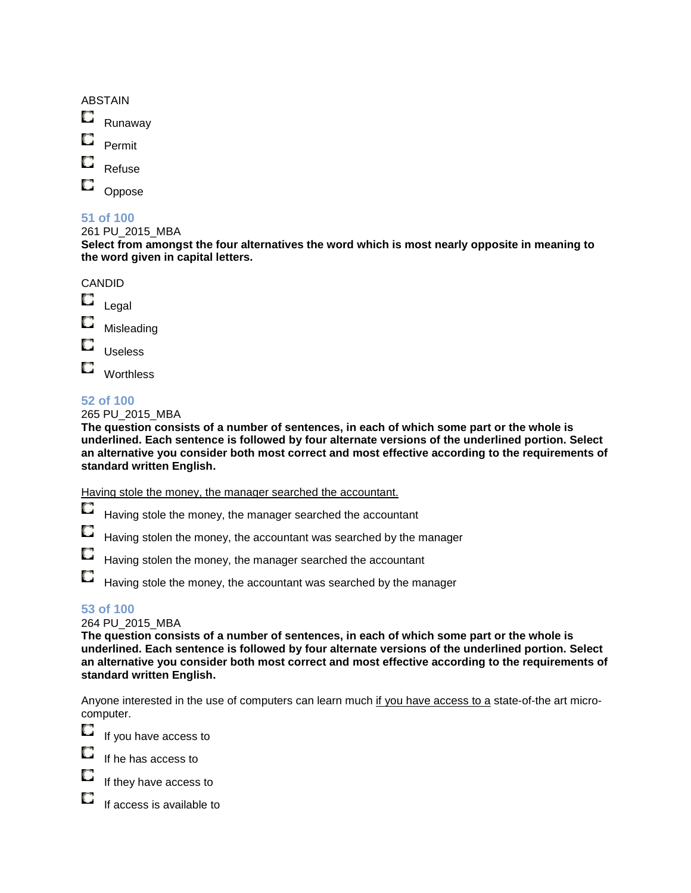| <b>ABSTAIN</b> |
|----------------|
|----------------|

O Runaway

o Permit

Refuse

Oppose

### **51 of 100**

261 PU\_2015\_MBA

**Select from amongst the four alternatives the word which is most nearly opposite in meaning to the word given in capital letters.**



**Worthless** 

### **52 of 100**

265 PU\_2015\_MBA

**The question consists of a number of sentences, in each of which some part or the whole is underlined. Each sentence is followed by four alternate versions of the underlined portion. Select an alternative you consider both most correct and most effective according to the requirements of standard written English.**

Having stole the money, the manager searched the accountant.

- O. Having stole the money, the manager searched the accountant
- O Having stolen the money, the accountant was searched by the manager
- O Having stolen the money, the manager searched the accountant
- О Having stole the money, the accountant was searched by the manager

### **53 of 100**

264 PU\_2015\_MBA

**The question consists of a number of sentences, in each of which some part or the whole is underlined. Each sentence is followed by four alternate versions of the underlined portion. Select an alternative you consider both most correct and most effective according to the requirements of standard written English.**

Anyone interested in the use of computers can learn much if you have access to a state-of-the art microcomputer.

O If you have access to

If he has access to



O If access is available to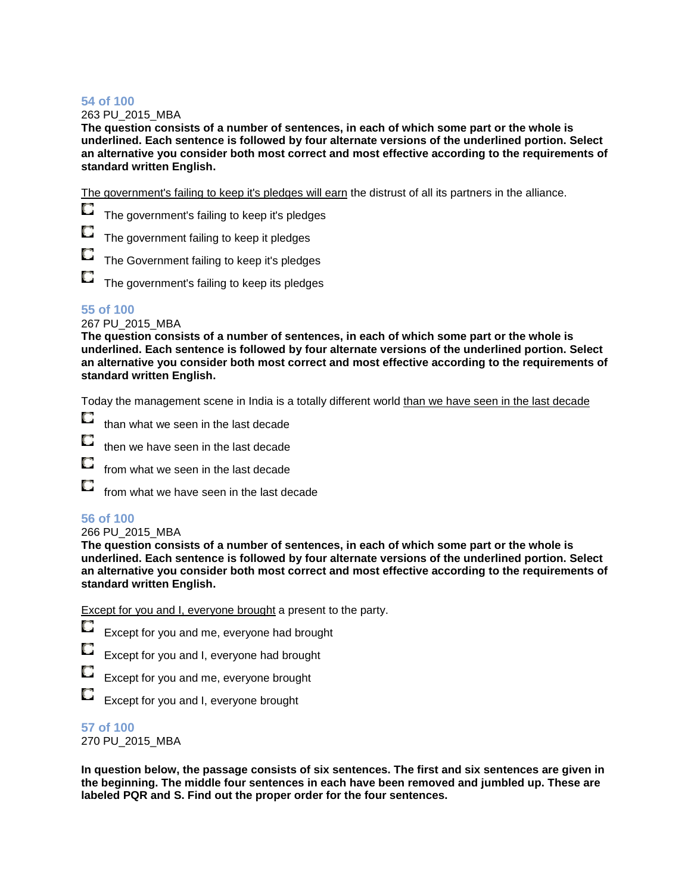263 PU\_2015\_MBA

**The question consists of a number of sentences, in each of which some part or the whole is underlined. Each sentence is followed by four alternate versions of the underlined portion. Select an alternative you consider both most correct and most effective according to the requirements of standard written English.**

The government's failing to keep it's pledges will earn the distrust of all its partners in the alliance.

O The government's failing to keep it's pledges

The government failing to keep it pledges

The Government failing to keep it's pledges

O The government's failing to keep its pledges

### **55 of 100**

#### 267 PU\_2015\_MBA

**The question consists of a number of sentences, in each of which some part or the whole is underlined. Each sentence is followed by four alternate versions of the underlined portion. Select an alternative you consider both most correct and most effective according to the requirements of standard written English.**

Today the management scene in India is a totally different world than we have seen in the last decade

- O than what we seen in the last decade
- then we have seen in the last decade
- O from what we seen in the last decade
- O from what we have seen in the last decade

### **56 of 100**

#### 266 PU\_2015\_MBA

**The question consists of a number of sentences, in each of which some part or the whole is underlined. Each sentence is followed by four alternate versions of the underlined portion. Select an alternative you consider both most correct and most effective according to the requirements of standard written English.**

Except for you and I, everyone brought a present to the party.

|  |  | $\Box$ Except for you and me, everyone had brought |
|--|--|----------------------------------------------------|
|  |  |                                                    |

- Except for you and I, everyone had brought
- Except for you and me, everyone brought

O Except for you and I, everyone brought

**57 of 100**  270 PU\_2015\_MBA

**In question below, the passage consists of six sentences. The first and six sentences are given in the beginning. The middle four sentences in each have been removed and jumbled up. These are labeled PQR and S. Find out the proper order for the four sentences.**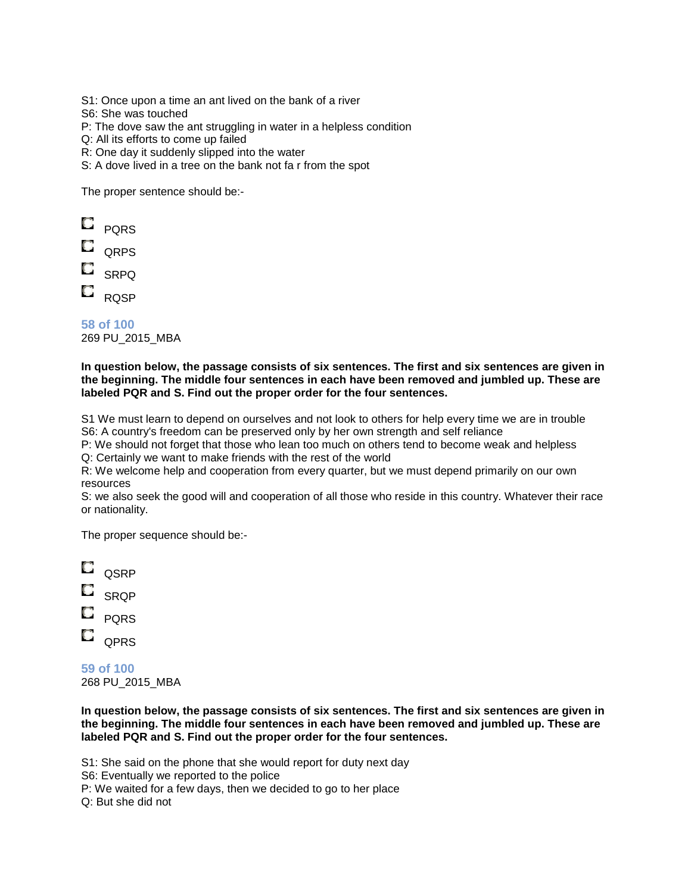S1: Once upon a time an ant lived on the bank of a river

S6: She was touched

P: The dove saw the ant struggling in water in a helpless condition

Q: All its efforts to come up failed

R: One day it suddenly slipped into the water

S: A dove lived in a tree on the bank not fa r from the spot

The proper sentence should be:-

- $\Box$  PQRS
- $\blacksquare$  QRPS
- $\Box$  SRPQ
- $E_{RQSP}$

**58 of 100**  269 PU\_2015\_MBA

#### **In question below, the passage consists of six sentences. The first and six sentences are given in the beginning. The middle four sentences in each have been removed and jumbled up. These are labeled PQR and S. Find out the proper order for the four sentences.**

S1 We must learn to depend on ourselves and not look to others for help every time we are in trouble S6: A country's freedom can be preserved only by her own strength and self reliance

P: We should not forget that those who lean too much on others tend to become weak and helpless Q: Certainly we want to make friends with the rest of the world

R: We welcome help and cooperation from every quarter, but we must depend primarily on our own resources

S: we also seek the good will and cooperation of all those who reside in this country. Whatever their race or nationality.

The proper sequence should be:-



**59 of 100**  268 PU\_2015\_MBA

**In question below, the passage consists of six sentences. The first and six sentences are given in the beginning. The middle four sentences in each have been removed and jumbled up. These are labeled PQR and S. Find out the proper order for the four sentences.**

S1: She said on the phone that she would report for duty next day

S6: Eventually we reported to the police

P: We waited for a few days, then we decided to go to her place

Q: But she did not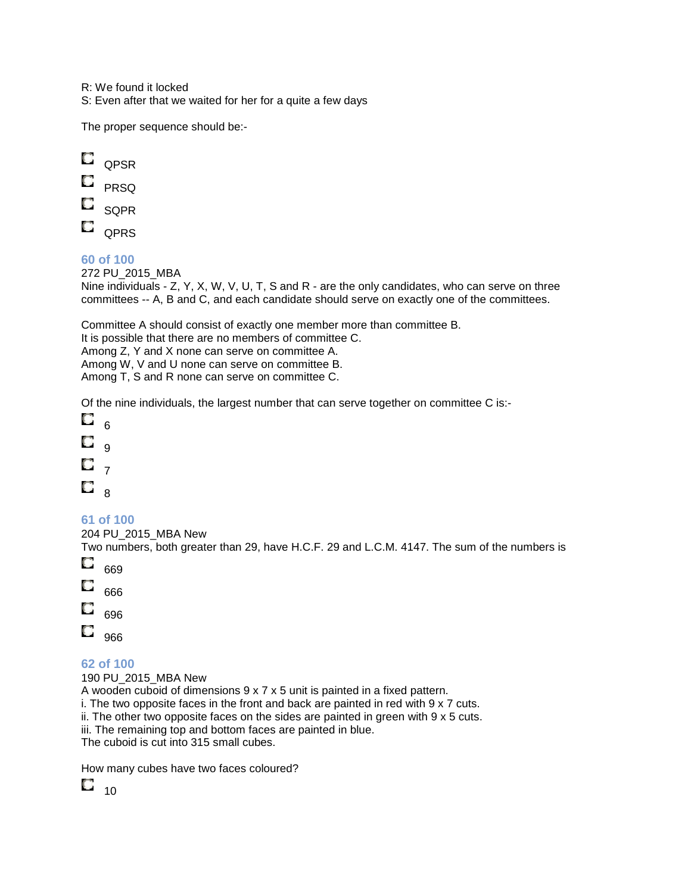R: We found it locked

S: Even after that we waited for her for a quite a few days

The proper sequence should be:-



- $\blacksquare$  PRSQ
- $\Box$  SOPR
- $\Box$  QPRS

### **60 of 100**

272 PU\_2015\_MBA Nine individuals - Z, Y, X, W, V, U, T, S and R - are the only candidates, who can serve on three committees -- A, B and C, and each candidate should serve on exactly one of the committees.

Committee A should consist of exactly one member more than committee B. It is possible that there are no members of committee C. Among Z, Y and X none can serve on committee A. Among W, V and U none can serve on committee B. Among T, S and R none can serve on committee C.

Of the nine individuals, the largest number that can serve together on committee C is:-

O 6 O  $\alpha$ O 7  $\Box$ 

### **61 of 100**

204 PU\_2015\_MBA New

Two numbers, both greater than 29, have H.C.F. 29 and L.C.M. 4147. The sum of the numbers is O

- 669 O 666 O 696
- $\overline{\phantom{0}}_{966}$

### **62 of 100**

190 PU\_2015\_MBA New

A wooden cuboid of dimensions 9 x 7 x 5 unit is painted in a fixed pattern.

i. The two opposite faces in the front and back are painted in red with 9 x 7 cuts.

ii. The other two opposite faces on the sides are painted in green with  $9 \times 5$  cuts.

iii. The remaining top and bottom faces are painted in blue.

The cuboid is cut into 315 small cubes.

How many cubes have two faces coloured?

 $\square$   $_{10}$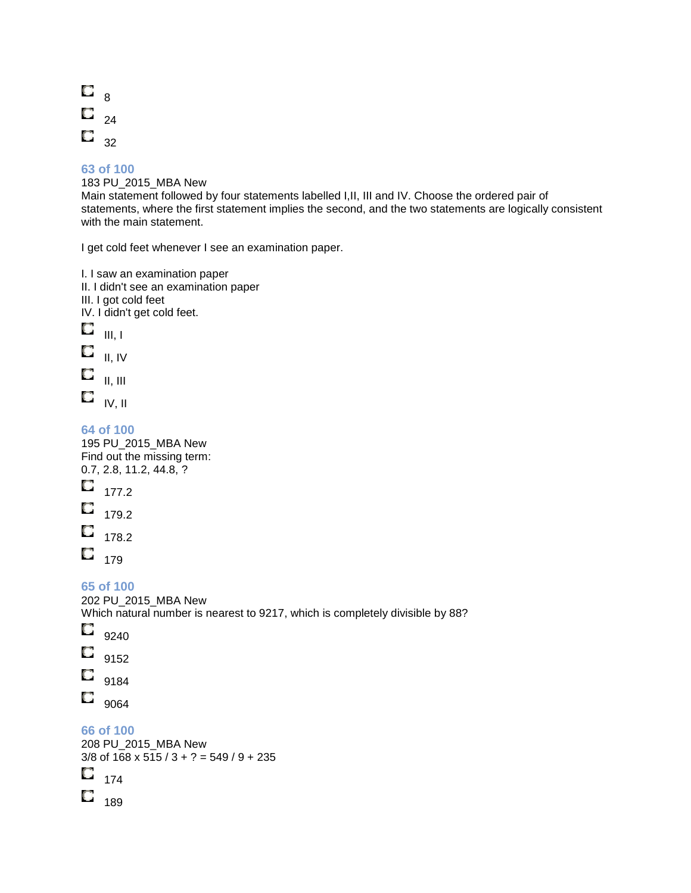

183 PU\_2015\_MBA New Main statement followed by four statements labelled I,II, III and IV. Choose the ordered pair of statements, where the first statement implies the second, and the two statements are logically consistent with the main statement.

I get cold feet whenever I see an examination paper.

I. I saw an examination paper II. I didn't see an examination paper III. I got cold feet IV. I didn't get cold feet.  $\mathbf{u}_{\parallel\parallel, \perp}$  $\blacksquare$  II, IV O II, III  $\Box$  iv, ii **64 of 100**  195 PU\_2015\_MBA New Find out the missing term: 0.7, 2.8, 11.2, 44.8, ? O 177.2 0. 179.2  $\Box$  178.2  $\Box$  179 **65 of 100**  202 PU\_2015\_MBA New Which natural number is nearest to 9217, which is completely divisible by 88? O 9240 O 9152  $\Box$  9184  $\Box$  9064 **66 of 100** 

208 PU\_2015\_MBA New 3/8 of  $168 \times 515 / 3 + ? = 549 / 9 + 235$  $\Box$  174

 $\Box$  189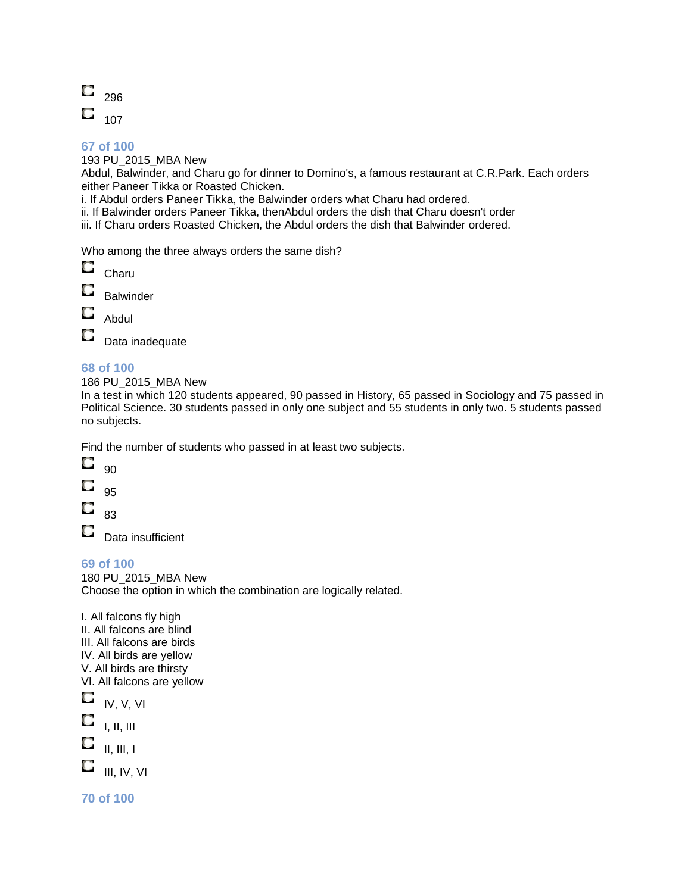

193 PU\_2015\_MBA New

Abdul, Balwinder, and Charu go for dinner to Domino's, a famous restaurant at C.R.Park. Each orders either Paneer Tikka or Roasted Chicken.

i. If Abdul orders Paneer Tikka, the Balwinder orders what Charu had ordered.

ii. If Balwinder orders Paneer Tikka, thenAbdul orders the dish that Charu doesn't order

iii. If Charu orders Roasted Chicken, the Abdul orders the dish that Balwinder ordered.

Who among the three always orders the same dish?

| Charu     |
|-----------|
| Balwinder |

О Abdul

O Data inadequate

### **68 of 100**

186 PU\_2015\_MBA New

In a test in which 120 students appeared, 90 passed in History, 65 passed in Sociology and 75 passed in Political Science. 30 students passed in only one subject and 55 students in only two. 5 students passed no subjects.

Find the number of students who passed in at least two subjects.



О 95

О 83

O

Data insufficient

**69 of 100** 

180 PU\_2015\_MBA New Choose the option in which the combination are logically related.

I. All falcons fly high II. All falcons are blind III. All falcons are birds IV. All birds are yellow V. All birds are thirsty VI. All falcons are yellow  $\Box$  IV, V, VI O I, II, III О II, III, I O III, IV, VI

**70 of 100**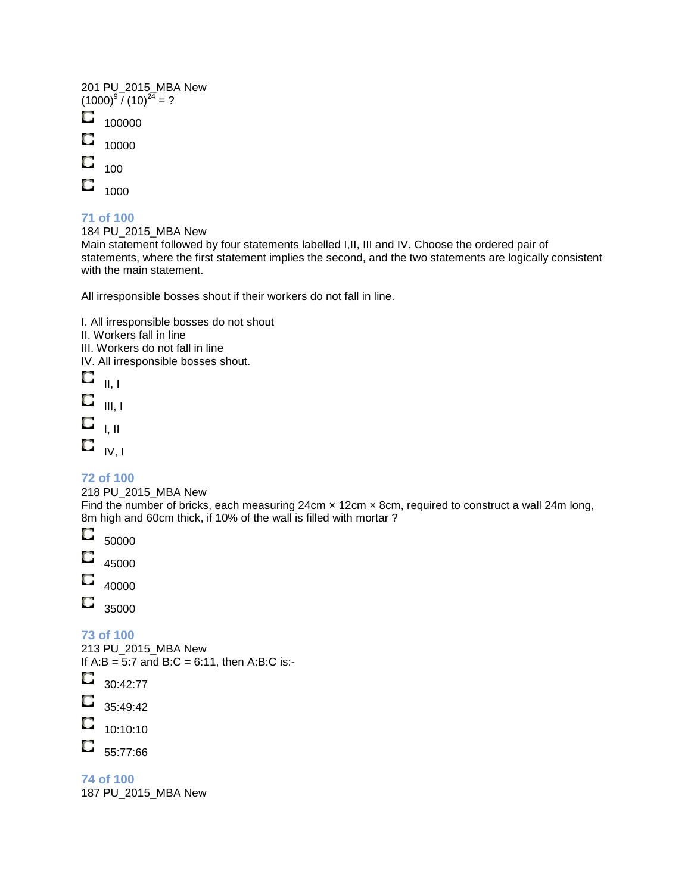|   | 201 PU_2015_MBA New<br>(1000) <sup>9</sup> / (10) <sup>24</sup> = ? |
|---|---------------------------------------------------------------------|
|   | 100000                                                              |
|   | 10000                                                               |
| u | 100                                                                 |
|   | 1000                                                                |

184 PU\_2015\_MBA New

Main statement followed by four statements labelled I,II, III and IV. Choose the ordered pair of statements, where the first statement implies the second, and the two statements are logically consistent with the main statement.

All irresponsible bosses shout if their workers do not fall in line.

I. All irresponsible bosses do not shout

II. Workers fall in line

III. Workers do not fall in line

IV. All irresponsible bosses shout.

O II, I

O III, I

- $\Box$ I, II
- 
- $\Box$  IV, I

**72 of 100** 

218 PU\_2015\_MBA New Find the number of bricks, each measuring 24cm x 12cm x 8cm, required to construct a wall 24m long, 8m high and 60cm thick, if 10% of the wall is filled with mortar?



O 45000

O 40000

O 35000

**73 of 100** 

213 PU\_2015\_MBA New If  $A:B = 5:7$  and  $B:C = 6:11$ , then  $A:B:C$  is:-O 30:42:77 O. 35:49:42

O 10:10:10

O. 55:77:66

**74 of 100**  187 PU\_2015\_MBA New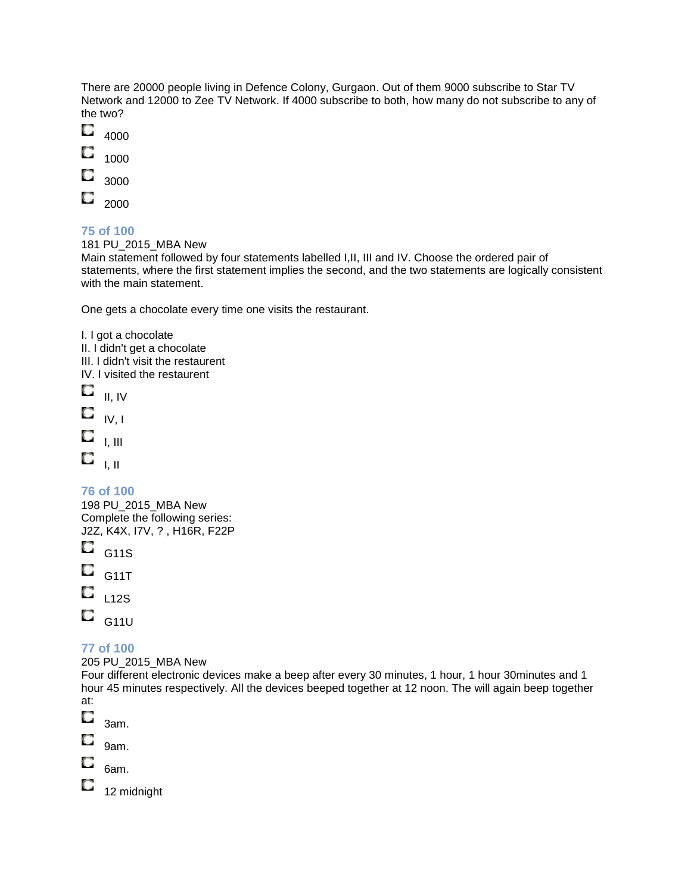There are 20000 people living in Defence Colony, Gurgaon. Out of them 9000 subscribe to Star TV Network and 12000 to Zee TV Network. If 4000 subscribe to both, how many do not subscribe to any of the two?



O 2000

### **75 of 100**

181 PU\_2015\_MBA New

Main statement followed by four statements labelled I,II, III and IV. Choose the ordered pair of statements, where the first statement implies the second, and the two statements are logically consistent with the main statement.

One gets a chocolate every time one visits the restaurant.

I. I got a chocolate II. I didn't get a chocolate III. I didn't visit the restaurent IV. I visited the restaurent O II, IV O IV, I O I, III  $\mathbf{C}_{-1,\, \mathrm{II}}$ 

**76 of 100** 

198 PU\_2015\_MBA New Complete the following series: J2Z, K4X, I7V, ? , H16R, F22P

- O G11S O
- G11T
- O L12S
- O. G11U

### **77 of 100**

205 PU\_2015\_MBA New

Four different electronic devices make a beep after every 30 minutes, 1 hour, 1 hour 30minutes and 1 hour 45 minutes respectively. All the devices beeped together at 12 noon. The will again beep together at:

- O 3am.
- О 9am.
- O 6am.

O 12 midnight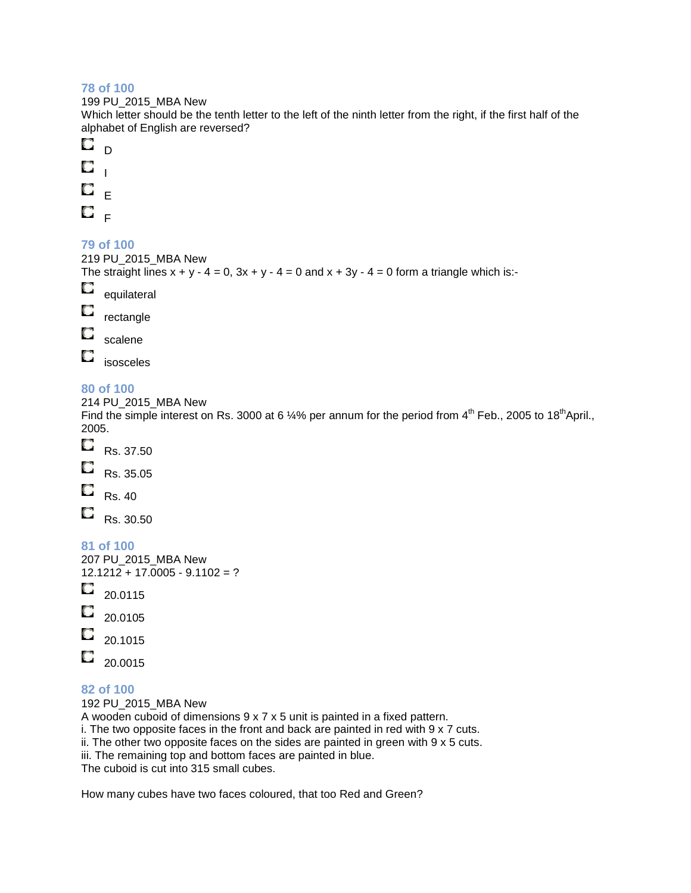199 PU\_2015\_MBA New

Which letter should be the tenth letter to the left of the ninth letter from the right, if the first half of the alphabet of English are reversed?



### **79 of 100**

```
219 PU_2015_MBA New 
The straight lines x + y - 4 = 0, 3x + y - 4 = 0 and x + 3y - 4 = 0 form a triangle which is:-
O
    equilateral 
O
    rectangle 
O
    scalene 
O
    isosceles
```
### **80 of 100**

214 PU\_2015\_MBA New

Find the simple interest on Rs. 3000 at 6 ¼% per annum for the period from 4<sup>th</sup> Feb., 2005 to 18<sup>th</sup>April., 2005.

- O Rs. 37.50 O Rs. 35.05 O
- Rs. 40 O

Rs. 30.50

**81 of 100** 

207 PU\_2015\_MBA New 12.1212 + 17.0005 - 9.1102 = ?

- O 20.0115
- O 20.0105
- 20.1015
- O 20.0015

### **82 of 100**

192 PU\_2015\_MBA New A wooden cuboid of dimensions 9 x 7 x 5 unit is painted in a fixed pattern. i. The two opposite faces in the front and back are painted in red with 9 x 7 cuts. ii. The other two opposite faces on the sides are painted in green with 9 x 5 cuts. iii. The remaining top and bottom faces are painted in blue. The cuboid is cut into 315 small cubes.

How many cubes have two faces coloured, that too Red and Green?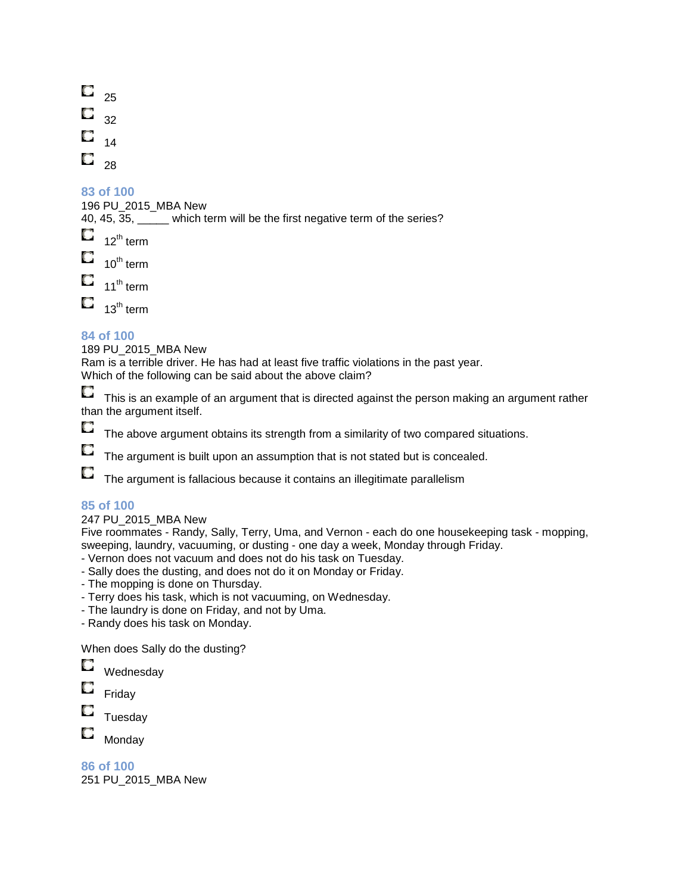O. 25 О 32 14 O 28

### **83 of 100**

196 PU\_2015\_MBA New

40, 45,  $\overline{35}$ , which term will be the first negative term of the series?

0  $12^{\text{th}}$  term  $\Box$  10<sup>th</sup> term  $\Box$  11<sup>th</sup> term

 $\Box$  13<sup>th</sup> term

### **84 of 100**

189 PU\_2015\_MBA New

Ram is a terrible driver. He has had at least five traffic violations in the past year.

Which of the following can be said about the above claim?

O. This is an example of an argument that is directed against the person making an argument rather than the argument itself.

O

The above argument obtains its strength from a similarity of two compared situations.

O The argument is built upon an assumption that is not stated but is concealed.

О The argument is fallacious because it contains an illegitimate parallelism

### **85 of 100**

### 247 PU\_2015\_MBA New

Five roommates - Randy, Sally, Terry, Uma, and Vernon - each do one housekeeping task - mopping, sweeping, laundry, vacuuming, or dusting - one day a week, Monday through Friday.

- Vernon does not vacuum and does not do his task on Tuesday.
- Sally does the dusting, and does not do it on Monday or Friday.
- The mopping is done on Thursday.
- Terry does his task, which is not vacuuming, on Wednesday.
- The laundry is done on Friday, and not by Uma.
- Randy does his task on Monday.

When does Sally do the dusting?

- **C** Wednesday
- Q Friday
- O Tuesday
- О Monday

**86 of 100**  251 PU\_2015\_MBA New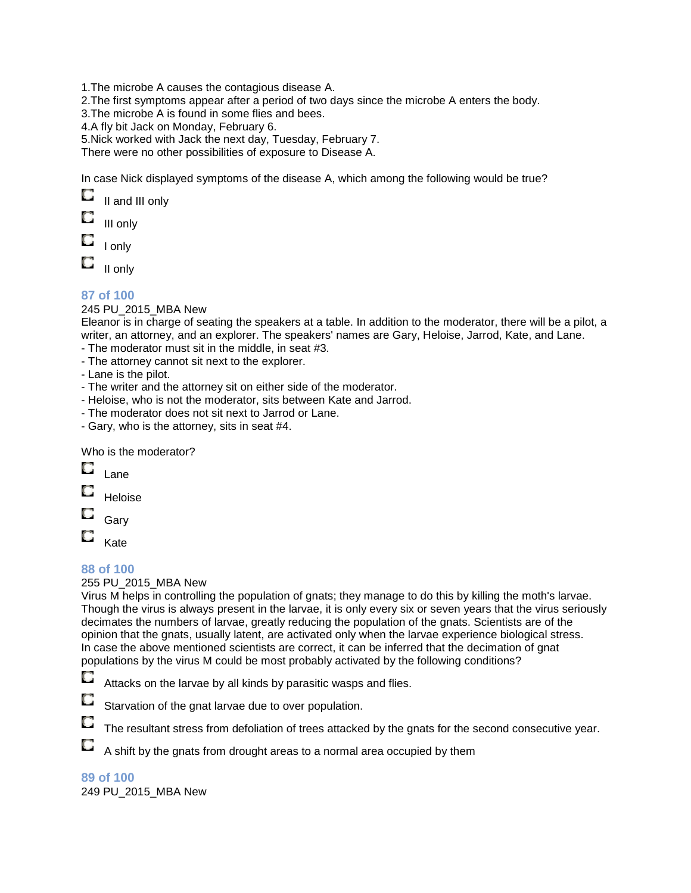1.The microbe A causes the contagious disease A.

2.The first symptoms appear after a period of two days since the microbe A enters the body.

3.The microbe A is found in some flies and bees.

4.A fly bit Jack on Monday, February 6.

5.Nick worked with Jack the next day, Tuesday, February 7.

There were no other possibilities of exposure to Disease A.

In case Nick displayed symptoms of the disease A, which among the following would be true?

| II and III only |  |
|-----------------|--|
|-----------------|--|

III only

I only

II only

### **87 of 100**

245 PU\_2015\_MBA New

Eleanor is in charge of seating the speakers at a table. In addition to the moderator, there will be a pilot, a writer, an attorney, and an explorer. The speakers' names are Gary, Heloise, Jarrod, Kate, and Lane.

- The moderator must sit in the middle, in seat #3.
- The attorney cannot sit next to the explorer.

- Lane is the pilot.

- The writer and the attorney sit on either side of the moderator.
- Heloise, who is not the moderator, sits between Kate and Jarrod.
- The moderator does not sit next to Jarrod or Lane.
- Gary, who is the attorney, sits in seat #4.

Who is the moderator?

| Lane    |
|---------|
| Heloise |
|         |

Gary

O Kate

### **88 of 100**

255 PU\_2015\_MBA New

Virus M helps in controlling the population of gnats; they manage to do this by killing the moth's larvae. Though the virus is always present in the larvae, it is only every six or seven years that the virus seriously decimates the numbers of larvae, greatly reducing the population of the gnats. Scientists are of the opinion that the gnats, usually latent, are activated only when the larvae experience biological stress. In case the above mentioned scientists are correct, it can be inferred that the decimation of gnat populations by the virus M could be most probably activated by the following conditions?

O Attacks on the larvae by all kinds by parasitic wasps and flies.

О Starvation of the gnat larvae due to over population.

Q The resultant stress from defoliation of trees attacked by the gnats for the second consecutive year.

0 A shift by the gnats from drought areas to a normal area occupied by them

**89 of 100**  249 PU\_2015\_MBA New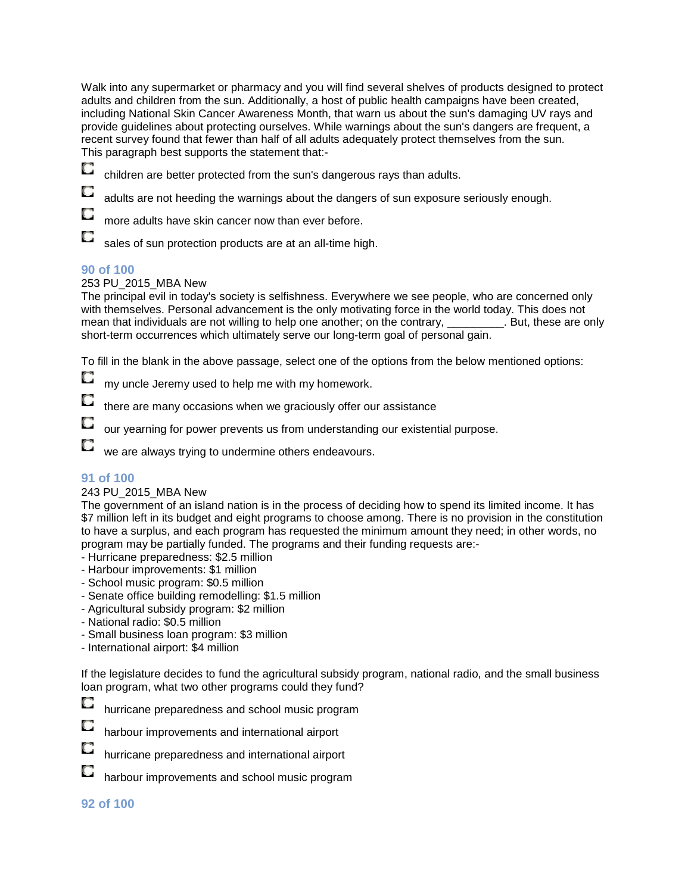Walk into any supermarket or pharmacy and you will find several shelves of products designed to protect adults and children from the sun. Additionally, a host of public health campaigns have been created, including National Skin Cancer Awareness Month, that warn us about the sun's damaging UV rays and provide guidelines about protecting ourselves. While warnings about the sun's dangers are frequent, a recent survey found that fewer than half of all adults adequately protect themselves from the sun. This paragraph best supports the statement that:-



O

children are better protected from the sun's dangerous rays than adults.

adults are not heeding the warnings about the dangers of sun exposure seriously enough.

more adults have skin cancer now than ever before.

O sales of sun protection products are at an all-time high.

### **90 of 100**

#### 253 PU\_2015\_MBA New

The principal evil in today's society is selfishness. Everywhere we see people, who are concerned only with themselves. Personal advancement is the only motivating force in the world today. This does not mean that individuals are not willing to help one another; on the contrary, \_\_\_\_\_\_\_\_\_. But, these are only short-term occurrences which ultimately serve our long-term goal of personal gain.

To fill in the blank in the above passage, select one of the options from the below mentioned options:

O my uncle Jeremy used to help me with my homework.

O there are many occasions when we graciously offer our assistance

our yearning for power prevents us from understanding our existential purpose.

O we are always trying to undermine others endeavours.

### **91 of 100**

#### 243 PU\_2015\_MBA New

The government of an island nation is in the process of deciding how to spend its limited income. It has \$7 million left in its budget and eight programs to choose among. There is no provision in the constitution to have a surplus, and each program has requested the minimum amount they need; in other words, no program may be partially funded. The programs and their funding requests are:-

- Hurricane preparedness: \$2.5 million

- Harbour improvements: \$1 million
- School music program: \$0.5 million
- Senate office building remodelling: \$1.5 million
- Agricultural subsidy program: \$2 million
- National radio: \$0.5 million
- Small business loan program: \$3 million
- International airport: \$4 million

If the legislature decides to fund the agricultural subsidy program, national radio, and the small business loan program, what two other programs could they fund?





harbour improvements and international airport



O

hurricane preparedness and international airport

harbour improvements and school music program

#### **92 of 100**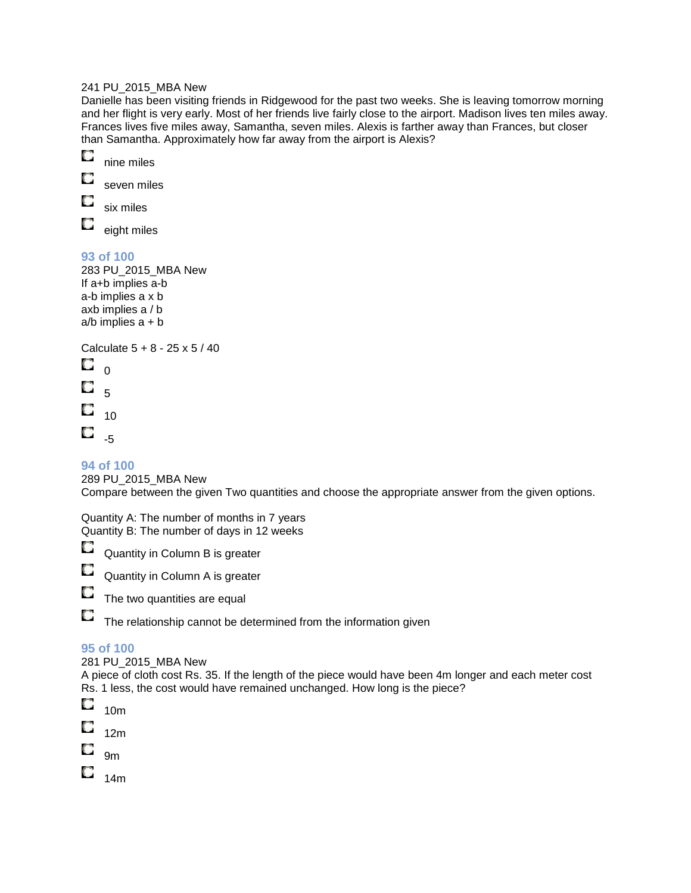#### 241 PU\_2015\_MBA New

Danielle has been visiting friends in Ridgewood for the past two weeks. She is leaving tomorrow morning and her flight is very early. Most of her friends live fairly close to the airport. Madison lives ten miles away. Frances lives five miles away, Samantha, seven miles. Alexis is farther away than Frances, but closer than Samantha. Approximately how far away from the airport is Alexis?



О seven miles

О six miles

O eight miles

### **93 of 100**

283 PU\_2015\_MBA New If a+b implies a-b a-b implies a x b axb implies a / b  $a/b$  implies  $a + b$ 

Calculate 5 + 8 - 25 x 5 / 40

O  $\Omega$ O 5 O 10 O -5

### **94 of 100**

289 PU\_2015\_MBA New

Compare between the given Two quantities and choose the appropriate answer from the given options.

Quantity A: The number of months in 7 years Quantity B: The number of days in 12 weeks

O Quantity in Column B is greater

О Quantity in Column A is greater

O The two quantities are equal

The relationship cannot be determined from the information given

### **95 of 100**

O

281 PU\_2015\_MBA New

A piece of cloth cost Rs. 35. If the length of the piece would have been 4m longer and each meter cost Rs. 1 less, the cost would have remained unchanged. How long is the piece?



О 12m

9m

 $\Box$  14m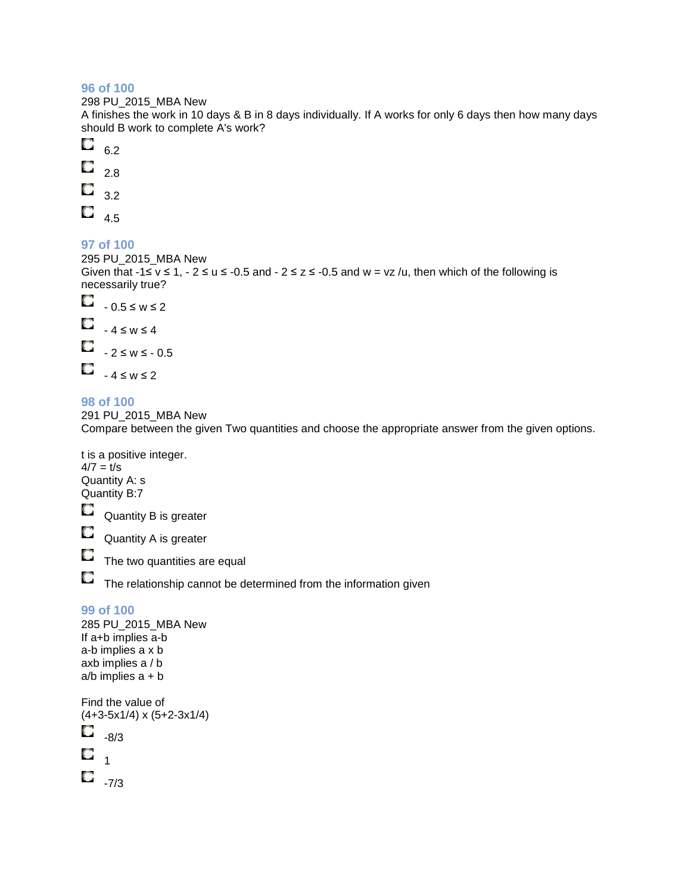298 PU\_2015\_MBA New

A finishes the work in 10 days & B in 8 days individually. If A works for only 6 days then how many days should B work to complete A's work?

- О 6.2
- O 2.8
- $\Box$ 3.2
- 
- $\Box$  4.5

### **97 of 100**

295 PU\_2015\_MBA New Given that  $-1 \le v \le 1$ ,  $-2 \le u \le -0.5$  and  $-2 \le z \le -0.5$  and  $w = vz/u$ , then which of the following is necessarily true?



**98 of 100**  291 PU\_2015\_MBA New Compare between the given Two quantities and choose the appropriate answer from the given options.

t is a positive integer.  $4/7 = t/s$ Quantity A: s Quantity B:7 О Quantity B is greater O Quantity A is greater O The two quantities are equal  $\Box$  The relationship cannot be determined from the information given **99 of 100**  285 PU\_2015\_MBA New

If a+b implies a-b a-b implies a x b axb implies a / b  $a/b$  implies  $a + b$ Find the value of

```
(4+3-5x1/4) x (5+2-3x1/4) 
О
     -8/3 
O
      1 
\Box<sub>-7/3</sub>
```